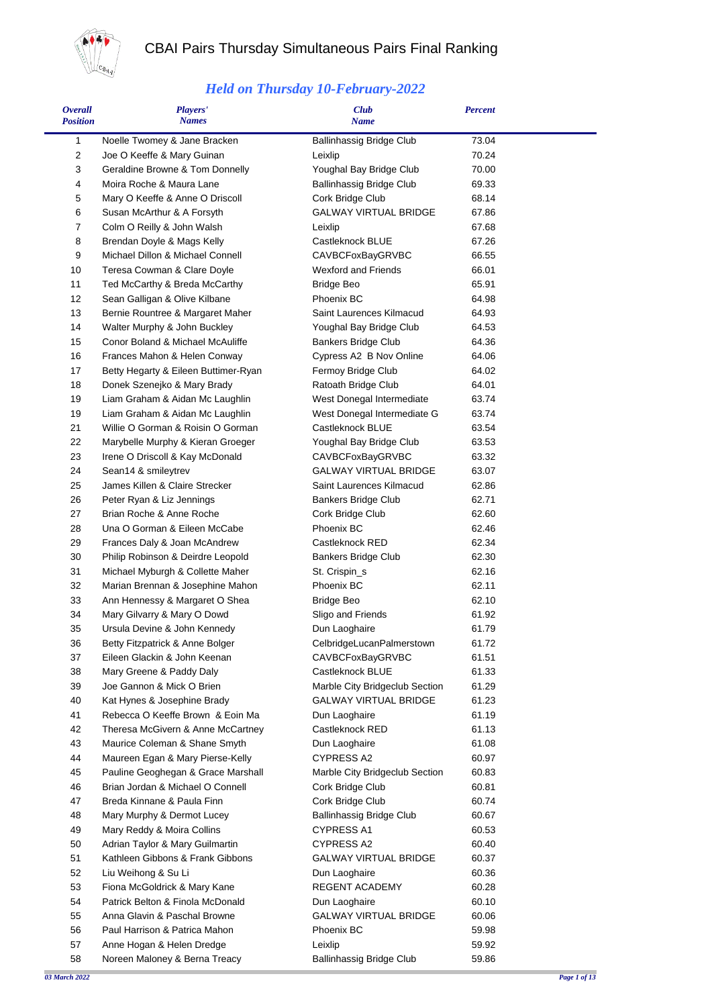

## CBAI Pairs Thursday Simultaneous Pairs Final Ranking

## *Held on Thursday 10-February-2022*

| <b>Overall</b><br><b>Position</b> | Players'<br><b>Names</b>                                               | <b>Club</b><br><b>Name</b>              | <b>Percent</b> |  |
|-----------------------------------|------------------------------------------------------------------------|-----------------------------------------|----------------|--|
| 1                                 | Noelle Twomey & Jane Bracken                                           | <b>Ballinhassig Bridge Club</b>         | 73.04          |  |
| 2                                 | Joe O Keeffe & Mary Guinan                                             | Leixlip                                 | 70.24          |  |
| 3                                 | Geraldine Browne & Tom Donnelly                                        | Youghal Bay Bridge Club                 | 70.00          |  |
| 4                                 | Moira Roche & Maura Lane                                               | Ballinhassig Bridge Club                | 69.33          |  |
| 5                                 | Mary O Keeffe & Anne O Driscoll                                        | Cork Bridge Club                        | 68.14          |  |
| 6                                 | Susan McArthur & A Forsyth                                             | <b>GALWAY VIRTUAL BRIDGE</b>            | 67.86          |  |
| $\overline{7}$                    | Colm O Reilly & John Walsh                                             | Leixlip                                 | 67.68          |  |
| 8                                 | Brendan Doyle & Mags Kelly                                             | Castleknock BLUE                        | 67.26          |  |
| 9<br>10                           | Michael Dillon & Michael Connell<br>Teresa Cowman & Clare Doyle        | CAVBCFoxBayGRVBC<br>Wexford and Friends | 66.55<br>66.01 |  |
| 11                                | Ted McCarthy & Breda McCarthy                                          | <b>Bridge Beo</b>                       | 65.91          |  |
| 12                                | Sean Galligan & Olive Kilbane                                          | Phoenix BC                              | 64.98          |  |
| 13                                | Bernie Rountree & Margaret Maher                                       | Saint Laurences Kilmacud                | 64.93          |  |
| 14                                | Walter Murphy & John Buckley                                           | Youghal Bay Bridge Club                 | 64.53          |  |
| 15                                | Conor Boland & Michael McAuliffe                                       | <b>Bankers Bridge Club</b>              | 64.36          |  |
| 16                                | Frances Mahon & Helen Conway                                           | Cypress A2 B Nov Online                 | 64.06          |  |
| 17                                | Betty Hegarty & Eileen Buttimer-Ryan                                   | Fermoy Bridge Club                      | 64.02          |  |
| 18                                | Donek Szenejko & Mary Brady                                            | Ratoath Bridge Club                     | 64.01          |  |
| 19                                | Liam Graham & Aidan Mc Laughlin                                        | West Donegal Intermediate               | 63.74          |  |
| 19                                | Liam Graham & Aidan Mc Laughlin                                        | West Donegal Intermediate G             | 63.74          |  |
| 21                                | Willie O Gorman & Roisin O Gorman                                      | Castleknock BLUE                        | 63.54          |  |
| 22                                | Marybelle Murphy & Kieran Groeger                                      | Youghal Bay Bridge Club                 | 63.53          |  |
| 23                                | Irene O Driscoll & Kay McDonald                                        | CAVBCFoxBayGRVBC                        | 63.32          |  |
| 24                                | Sean14 & smileytrev                                                    | <b>GALWAY VIRTUAL BRIDGE</b>            | 63.07          |  |
| 25                                | James Killen & Claire Strecker                                         | Saint Laurences Kilmacud                | 62.86          |  |
| 26                                | Peter Ryan & Liz Jennings                                              | <b>Bankers Bridge Club</b>              | 62.71          |  |
| 27<br>28                          | Brian Roche & Anne Roche<br>Una O Gorman & Eileen McCabe               | Cork Bridge Club<br>Phoenix BC          | 62.60<br>62.46 |  |
| 29                                | Frances Daly & Joan McAndrew                                           | Castleknock RED                         | 62.34          |  |
| 30                                | Philip Robinson & Deirdre Leopold                                      | <b>Bankers Bridge Club</b>              | 62.30          |  |
| 31                                | Michael Myburgh & Collette Maher                                       | St. Crispin_s                           | 62.16          |  |
| 32                                | Marian Brennan & Josephine Mahon                                       | Phoenix BC                              | 62.11          |  |
| 33                                | Ann Hennessy & Margaret O Shea                                         | <b>Bridge Beo</b>                       | 62.10          |  |
| 34                                | Mary Gilvarry & Mary O Dowd                                            | Sligo and Friends                       | 61.92          |  |
| 35                                | Ursula Devine & John Kennedy                                           | Dun Laoghaire                           | 61.79          |  |
| 36                                | Betty Fitzpatrick & Anne Bolger                                        | CelbridgeLucanPalmerstown               | 61.72          |  |
| 37                                | Eileen Glackin & John Keenan                                           | CAVBCFoxBayGRVBC                        | 61.51          |  |
| 38                                | Mary Greene & Paddy Daly                                               | Castleknock BLUE                        | 61.33          |  |
| 39                                | Joe Gannon & Mick O Brien                                              | Marble City Bridgeclub Section          | 61.29          |  |
| 40                                | Kat Hynes & Josephine Brady                                            | <b>GALWAY VIRTUAL BRIDGE</b>            | 61.23          |  |
| 41                                | Rebecca O Keeffe Brown & Eoin Ma                                       | Dun Laoghaire                           | 61.19          |  |
| 42                                | Theresa McGivern & Anne McCartney                                      | Castleknock RED                         | 61.13          |  |
| 43<br>44                          | Maurice Coleman & Shane Smyth                                          | Dun Laoghaire<br><b>CYPRESS A2</b>      | 61.08          |  |
| 45                                | Maureen Egan & Mary Pierse-Kelly<br>Pauline Geoghegan & Grace Marshall | Marble City Bridgeclub Section          | 60.97<br>60.83 |  |
| 46                                | Brian Jordan & Michael O Connell                                       | Cork Bridge Club                        | 60.81          |  |
| 47                                | Breda Kinnane & Paula Finn                                             | Cork Bridge Club                        | 60.74          |  |
| 48                                | Mary Murphy & Dermot Lucey                                             | <b>Ballinhassig Bridge Club</b>         | 60.67          |  |
| 49                                | Mary Reddy & Moira Collins                                             | <b>CYPRESS A1</b>                       | 60.53          |  |
| 50                                | Adrian Taylor & Mary Guilmartin                                        | <b>CYPRESS A2</b>                       | 60.40          |  |
| 51                                | Kathleen Gibbons & Frank Gibbons                                       | GALWAY VIRTUAL BRIDGE                   | 60.37          |  |
| 52                                | Liu Weihong & Su Li                                                    | Dun Laoghaire                           | 60.36          |  |
| 53                                | Fiona McGoldrick & Mary Kane                                           | REGENT ACADEMY                          | 60.28          |  |
| 54                                | Patrick Belton & Finola McDonald                                       | Dun Laoghaire                           | 60.10          |  |
| 55                                | Anna Glavin & Paschal Browne                                           | GALWAY VIRTUAL BRIDGE                   | 60.06          |  |
| 56                                | Paul Harrison & Patrica Mahon                                          | Phoenix BC                              | 59.98          |  |
| 57                                | Anne Hogan & Helen Dredge                                              | Leixlip                                 | 59.92          |  |
| 58                                | Noreen Maloney & Berna Treacy                                          | <b>Ballinhassig Bridge Club</b>         | 59.86          |  |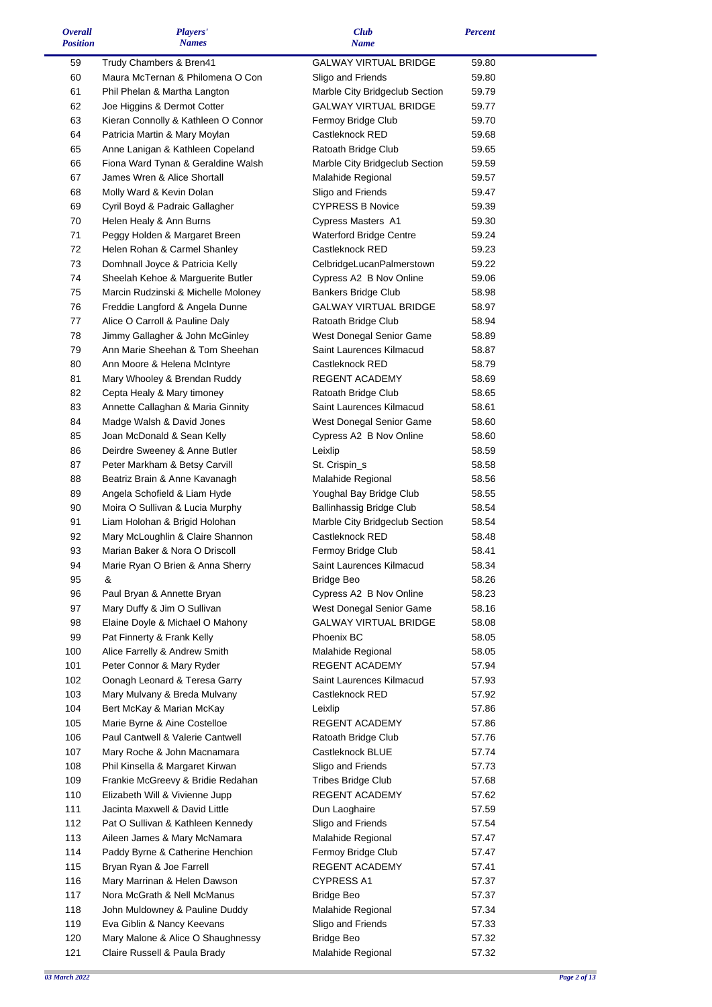| <b>Overall</b><br><b>Position</b> | <b>Players'</b><br><b>Names</b>                            | <b>Club</b><br><b>Name</b>          | <b>Percent</b> |  |
|-----------------------------------|------------------------------------------------------------|-------------------------------------|----------------|--|
| 59                                | Trudy Chambers & Bren41                                    | <b>GALWAY VIRTUAL BRIDGE</b>        | 59.80          |  |
| 60                                | Maura McTernan & Philomena O Con                           | Sligo and Friends                   | 59.80          |  |
| 61                                | Phil Phelan & Martha Langton                               | Marble City Bridgeclub Section      | 59.79          |  |
| 62                                | Joe Higgins & Dermot Cotter                                | <b>GALWAY VIRTUAL BRIDGE</b>        | 59.77          |  |
| 63                                | Kieran Connolly & Kathleen O Connor                        | Fermoy Bridge Club                  | 59.70          |  |
| 64                                | Patricia Martin & Mary Moylan                              | Castleknock RED                     | 59.68          |  |
| 65                                | Anne Lanigan & Kathleen Copeland                           | Ratoath Bridge Club                 | 59.65          |  |
| 66                                | Fiona Ward Tynan & Geraldine Walsh                         | Marble City Bridgeclub Section      | 59.59          |  |
| 67                                | James Wren & Alice Shortall                                | Malahide Regional                   | 59.57          |  |
| 68                                | Molly Ward & Kevin Dolan                                   | Sligo and Friends                   | 59.47          |  |
| 69                                | Cyril Boyd & Padraic Gallagher                             | <b>CYPRESS B Novice</b>             | 59.39          |  |
| 70                                | Helen Healy & Ann Burns                                    | Cypress Masters A1                  | 59.30          |  |
| 71                                | Peggy Holden & Margaret Breen                              | Waterford Bridge Centre             | 59.24          |  |
| 72                                | Helen Rohan & Carmel Shanley                               | Castleknock RED                     | 59.23          |  |
| 73                                | Domhnall Joyce & Patricia Kelly                            | CelbridgeLucanPalmerstown           | 59.22          |  |
| 74                                | Sheelah Kehoe & Marguerite Butler                          | Cypress A2 B Nov Online             | 59.06          |  |
| 75                                | Marcin Rudzinski & Michelle Moloney                        | <b>Bankers Bridge Club</b>          | 58.98          |  |
| 76                                | Freddie Langford & Angela Dunne                            | <b>GALWAY VIRTUAL BRIDGE</b>        | 58.97          |  |
| 77                                | Alice O Carroll & Pauline Daly                             | Ratoath Bridge Club                 | 58.94          |  |
| 78                                | Jimmy Gallagher & John McGinley                            | West Donegal Senior Game            | 58.89          |  |
| 79                                | Ann Marie Sheehan & Tom Sheehan                            | Saint Laurences Kilmacud            | 58.87          |  |
| 80                                | Ann Moore & Helena McIntyre                                | Castleknock RED                     | 58.79          |  |
| 81                                | Mary Whooley & Brendan Ruddy                               | REGENT ACADEMY                      | 58.69          |  |
| 82                                | Cepta Healy & Mary timoney                                 | Ratoath Bridge Club                 | 58.65          |  |
| 83                                | Annette Callaghan & Maria Ginnity                          | Saint Laurences Kilmacud            | 58.61          |  |
| 84                                | Madge Walsh & David Jones                                  | West Donegal Senior Game            | 58.60          |  |
| 85                                | Joan McDonald & Sean Kelly                                 | Cypress A2 B Nov Online             | 58.60          |  |
| 86                                | Deirdre Sweeney & Anne Butler                              | Leixlip                             | 58.59          |  |
| 87                                | Peter Markham & Betsy Carvill                              | St. Crispin_s                       | 58.58          |  |
| 88                                | Beatriz Brain & Anne Kavanagh                              | Malahide Regional                   | 58.56          |  |
| 89                                | Angela Schofield & Liam Hyde                               | Youghal Bay Bridge Club             | 58.55          |  |
| 90                                | Moira O Sullivan & Lucia Murphy                            | Ballinhassig Bridge Club            | 58.54          |  |
| 91                                | Liam Holohan & Brigid Holohan                              | Marble City Bridgeclub Section      | 58.54          |  |
| 92                                | Mary McLoughlin & Claire Shannon                           | Castleknock RED                     | 58.48          |  |
| 93                                | Marian Baker & Nora O Driscoll                             | Fermoy Bridge Club                  | 58.41          |  |
| 94                                | Marie Ryan O Brien & Anna Sherry                           | Saint Laurences Kilmacud            | 58.34          |  |
| 95                                | &                                                          | <b>Bridge Beo</b>                   | 58.26          |  |
| 96                                | Paul Bryan & Annette Bryan                                 | Cypress A2 B Nov Online             | 58.23          |  |
| 97                                | Mary Duffy & Jim O Sullivan                                | West Donegal Senior Game            | 58.16          |  |
| 98                                | Elaine Doyle & Michael O Mahony                            | <b>GALWAY VIRTUAL BRIDGE</b>        | 58.08          |  |
| 99                                | Pat Finnerty & Frank Kelly                                 | Phoenix BC                          | 58.05          |  |
| 100<br>101                        | Alice Farrelly & Andrew Smith                              | Malahide Regional<br>REGENT ACADEMY | 58.05<br>57.94 |  |
| 102                               | Peter Connor & Mary Ryder<br>Oonagh Leonard & Teresa Garry | Saint Laurences Kilmacud            | 57.93          |  |
| 103                               | Mary Mulvany & Breda Mulvany                               | Castleknock RED                     | 57.92          |  |
| 104                               | Bert McKay & Marian McKay                                  | Leixlip                             | 57.86          |  |
| 105                               | Marie Byrne & Aine Costelloe                               | REGENT ACADEMY                      | 57.86          |  |
| 106                               | Paul Cantwell & Valerie Cantwell                           | Ratoath Bridge Club                 | 57.76          |  |
| 107                               | Mary Roche & John Macnamara                                | Castleknock BLUE                    | 57.74          |  |
| 108                               | Phil Kinsella & Margaret Kirwan                            | Sligo and Friends                   | 57.73          |  |
| 109                               | Frankie McGreevy & Bridie Redahan                          | <b>Tribes Bridge Club</b>           | 57.68          |  |
| 110                               | Elizabeth Will & Vivienne Jupp                             | REGENT ACADEMY                      | 57.62          |  |
| 111                               | Jacinta Maxwell & David Little                             | Dun Laoghaire                       | 57.59          |  |
| 112                               | Pat O Sullivan & Kathleen Kennedy                          | Sligo and Friends                   | 57.54          |  |
| 113                               | Aileen James & Mary McNamara                               | Malahide Regional                   | 57.47          |  |
| 114                               | Paddy Byrne & Catherine Henchion                           | Fermoy Bridge Club                  | 57.47          |  |
| 115                               | Bryan Ryan & Joe Farrell                                   | REGENT ACADEMY                      | 57.41          |  |
| 116                               | Mary Marrinan & Helen Dawson                               | <b>CYPRESS A1</b>                   | 57.37          |  |
| 117                               | Nora McGrath & Nell McManus                                | <b>Bridge Beo</b>                   | 57.37          |  |
| 118                               | John Muldowney & Pauline Duddy                             | Malahide Regional                   | 57.34          |  |
| 119                               | Eva Giblin & Nancy Keevans                                 | Sligo and Friends                   | 57.33          |  |
| 120                               | Mary Malone & Alice O Shaughnessy                          | <b>Bridge Beo</b>                   | 57.32          |  |
| 121                               | Claire Russell & Paula Brady                               | Malahide Regional                   | 57.32          |  |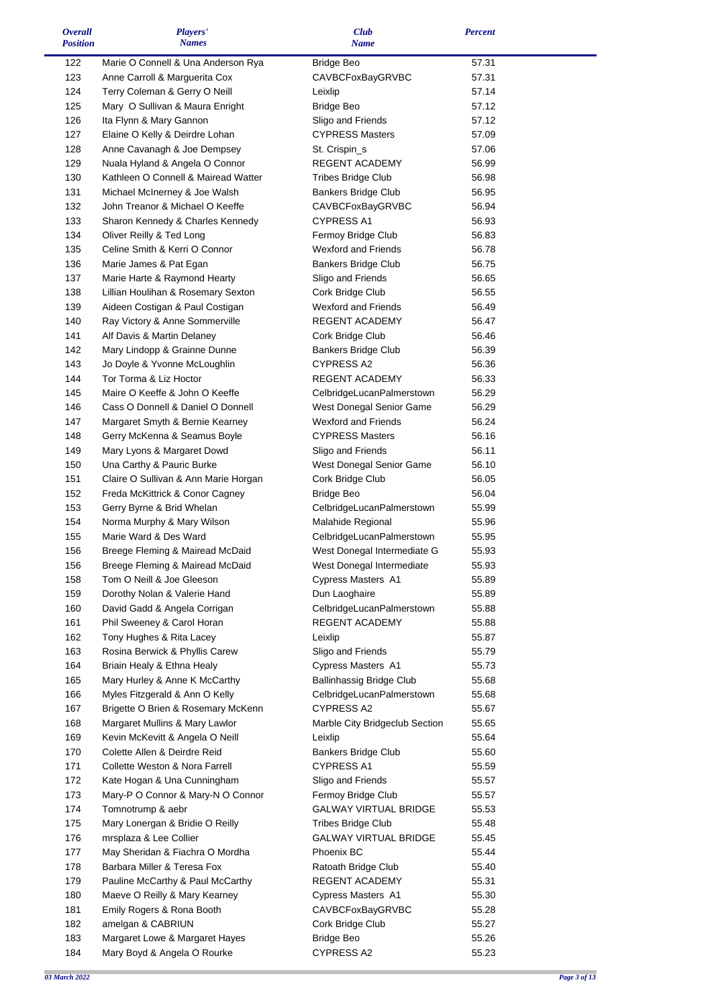| <b>Overall</b>  | Players'                             | <b>Club</b>                    | <b>Percent</b> |  |
|-----------------|--------------------------------------|--------------------------------|----------------|--|
| <b>Position</b> | <b>Names</b>                         | <b>Name</b>                    |                |  |
| 122             | Marie O Connell & Una Anderson Rya   | Bridge Beo                     | 57.31          |  |
| 123             | Anne Carroll & Marguerita Cox        | CAVBCFoxBayGRVBC               | 57.31          |  |
| 124             | Terry Coleman & Gerry O Neill        | Leixlip                        | 57.14          |  |
| 125             | Mary O Sullivan & Maura Enright      | <b>Bridge Beo</b>              | 57.12          |  |
| 126             | Ita Flynn & Mary Gannon              | Sligo and Friends              | 57.12          |  |
| 127             | Elaine O Kelly & Deirdre Lohan       | <b>CYPRESS Masters</b>         | 57.09          |  |
| 128             | Anne Cavanagh & Joe Dempsey          | St. Crispin_s                  | 57.06          |  |
| 129             | Nuala Hyland & Angela O Connor       | REGENT ACADEMY                 | 56.99          |  |
| 130             | Kathleen O Connell & Mairead Watter  | <b>Tribes Bridge Club</b>      | 56.98          |  |
| 131             | Michael McInerney & Joe Walsh        | <b>Bankers Bridge Club</b>     | 56.95          |  |
| 132             | John Treanor & Michael O Keeffe      | CAVBCFoxBayGRVBC               | 56.94          |  |
| 133             | Sharon Kennedy & Charles Kennedy     | <b>CYPRESS A1</b>              | 56.93          |  |
| 134             | Oliver Reilly & Ted Long             | Fermoy Bridge Club             | 56.83          |  |
| 135             | Celine Smith & Kerri O Connor        | <b>Wexford and Friends</b>     | 56.78          |  |
| 136             | Marie James & Pat Egan               | Bankers Bridge Club            | 56.75          |  |
| 137             | Marie Harte & Raymond Hearty         | Sligo and Friends              | 56.65          |  |
| 138             | Lillian Houlihan & Rosemary Sexton   | Cork Bridge Club               | 56.55          |  |
| 139             | Aideen Costigan & Paul Costigan      | <b>Wexford and Friends</b>     | 56.49          |  |
| 140             | Ray Victory & Anne Sommerville       | REGENT ACADEMY                 | 56.47          |  |
| 141             | Alf Davis & Martin Delaney           | Cork Bridge Club               | 56.46          |  |
| 142             | Mary Lindopp & Grainne Dunne         | Bankers Bridge Club            | 56.39          |  |
| 143             | Jo Doyle & Yvonne McLoughlin         | <b>CYPRESS A2</b>              | 56.36          |  |
| 144             | Tor Torma & Liz Hoctor               | REGENT ACADEMY                 | 56.33          |  |
| 145             | Maire O Keeffe & John O Keeffe       | CelbridgeLucanPalmerstown      | 56.29          |  |
| 146             | Cass O Donnell & Daniel O Donnell    | West Donegal Senior Game       | 56.29          |  |
| 147             | Margaret Smyth & Bernie Kearney      | <b>Wexford and Friends</b>     | 56.24          |  |
| 148             | Gerry McKenna & Seamus Boyle         | <b>CYPRESS Masters</b>         | 56.16          |  |
| 149             | Mary Lyons & Margaret Dowd           | Sligo and Friends              | 56.11          |  |
| 150             | Una Carthy & Pauric Burke            | West Donegal Senior Game       | 56.10          |  |
| 151             | Claire O Sullivan & Ann Marie Horgan | Cork Bridge Club               | 56.05          |  |
| 152             | Freda McKittrick & Conor Cagney      | <b>Bridge Beo</b>              | 56.04          |  |
| 153             | Gerry Byrne & Brid Whelan            | CelbridgeLucanPalmerstown      | 55.99          |  |
| 154             | Norma Murphy & Mary Wilson           | Malahide Regional              | 55.96          |  |
| 155             | Marie Ward & Des Ward                | CelbridgeLucanPalmerstown      | 55.95          |  |
| 156             | Breege Fleming & Mairead McDaid      | West Donegal Intermediate G    | 55.93          |  |
| 156             | Breege Fleming & Mairead McDaid      | West Donegal Intermediate      | 55.93          |  |
| 158             | Tom O Neill & Joe Gleeson            | Cypress Masters A1             | 55.89          |  |
| 159             | Dorothy Nolan & Valerie Hand         | Dun Laoghaire                  | 55.89          |  |
| 160             | David Gadd & Angela Corrigan         | CelbridgeLucanPalmerstown      | 55.88          |  |
| 161             | Phil Sweeney & Carol Horan           | REGENT ACADEMY                 | 55.88          |  |
| 162             | Tony Hughes & Rita Lacey             | Leixlip                        | 55.87          |  |
| 163             | Rosina Berwick & Phyllis Carew       | Sligo and Friends              | 55.79          |  |
| 164             | Briain Healy & Ethna Healy           | Cypress Masters A1             | 55.73          |  |
| 165             | Mary Hurley & Anne K McCarthy        | Ballinhassig Bridge Club       | 55.68          |  |
| 166             | Myles Fitzgerald & Ann O Kelly       | CelbridgeLucanPalmerstown      | 55.68          |  |
| 167             | Brigette O Brien & Rosemary McKenn   | <b>CYPRESS A2</b>              | 55.67          |  |
| 168             | Margaret Mullins & Mary Lawlor       | Marble City Bridgeclub Section | 55.65          |  |
| 169             | Kevin McKevitt & Angela O Neill      | Leixlip                        | 55.64          |  |
| 170             | Colette Allen & Deirdre Reid         | <b>Bankers Bridge Club</b>     | 55.60          |  |
| 171             | Collette Weston & Nora Farrell       | <b>CYPRESS A1</b>              | 55.59          |  |
| 172             | Kate Hogan & Una Cunningham          | Sligo and Friends              | 55.57          |  |
| 173             | Mary-P O Connor & Mary-N O Connor    | Fermoy Bridge Club             | 55.57          |  |
| 174             | Tomnotrump & aebr                    | <b>GALWAY VIRTUAL BRIDGE</b>   | 55.53          |  |
| 175             | Mary Lonergan & Bridie O Reilly      | <b>Tribes Bridge Club</b>      | 55.48          |  |
| 176             | mrsplaza & Lee Collier               | <b>GALWAY VIRTUAL BRIDGE</b>   | 55.45          |  |
| 177             | May Sheridan & Fiachra O Mordha      | Phoenix BC                     | 55.44          |  |
| 178             | Barbara Miller & Teresa Fox          | Ratoath Bridge Club            | 55.40          |  |
| 179             | Pauline McCarthy & Paul McCarthy     | REGENT ACADEMY                 | 55.31          |  |
| 180             | Maeve O Reilly & Mary Kearney        | Cypress Masters A1             | 55.30          |  |
| 181             | Emily Rogers & Rona Booth            | CAVBCFoxBayGRVBC               | 55.28          |  |
| 182             | amelgan & CABRIUN                    | Cork Bridge Club               | 55.27          |  |
| 183             | Margaret Lowe & Margaret Hayes       | <b>Bridge Beo</b>              | 55.26          |  |
| 184             | Mary Boyd & Angela O Rourke          | <b>CYPRESS A2</b>              | 55.23          |  |
|                 |                                      |                                |                |  |

 $\blacksquare$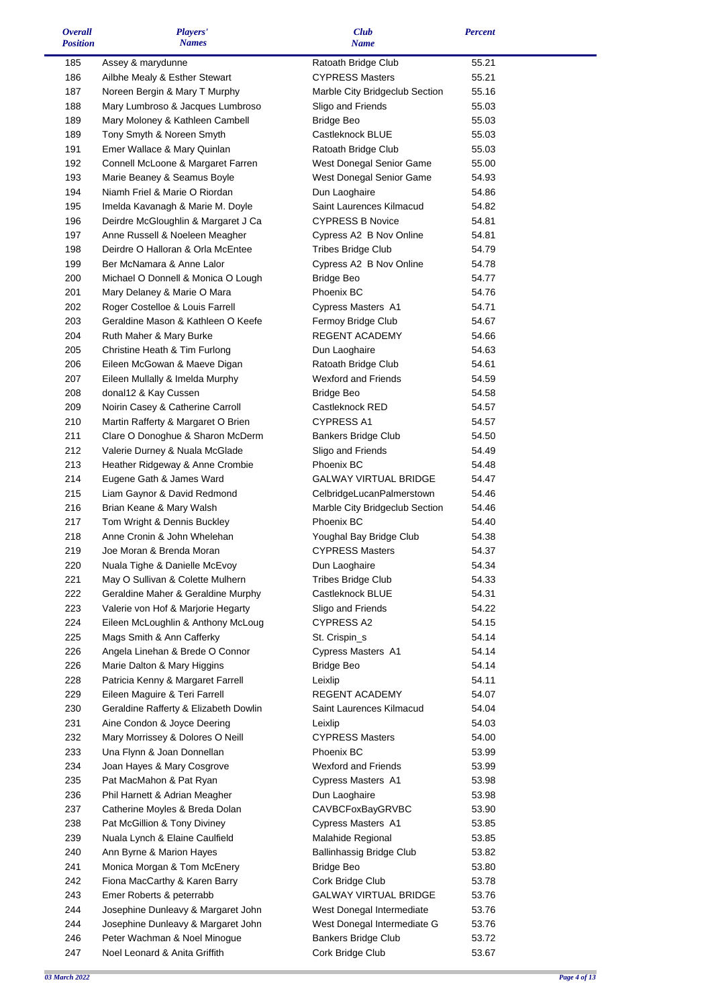| <b>Overall</b><br><b>Position</b> | Players'<br><b>Names</b>                                 | <b>Club</b><br><b>Name</b>                        | <b>Percent</b> |  |
|-----------------------------------|----------------------------------------------------------|---------------------------------------------------|----------------|--|
| 185                               | Assey & marydunne                                        | Ratoath Bridge Club                               | 55.21          |  |
| 186                               | Ailbhe Mealy & Esther Stewart                            | <b>CYPRESS Masters</b>                            | 55.21          |  |
| 187                               | Noreen Bergin & Mary T Murphy                            | Marble City Bridgeclub Section                    | 55.16          |  |
| 188                               | Mary Lumbroso & Jacques Lumbroso                         | Sligo and Friends                                 | 55.03          |  |
| 189                               | Mary Moloney & Kathleen Cambell                          | <b>Bridge Beo</b>                                 | 55.03          |  |
| 189                               | Tony Smyth & Noreen Smyth                                | Castleknock BLUE                                  | 55.03          |  |
| 191                               | Emer Wallace & Mary Quinlan                              | Ratoath Bridge Club                               | 55.03          |  |
| 192                               | Connell McLoone & Margaret Farren                        | West Donegal Senior Game                          | 55.00          |  |
| 193                               | Marie Beaney & Seamus Boyle                              | West Donegal Senior Game                          | 54.93          |  |
| 194                               | Niamh Friel & Marie O Riordan                            | Dun Laoghaire                                     | 54.86          |  |
| 195                               | Imelda Kavanagh & Marie M. Doyle                         | Saint Laurences Kilmacud                          | 54.82          |  |
| 196                               | Deirdre McGloughlin & Margaret J Ca                      | <b>CYPRESS B Novice</b>                           | 54.81          |  |
| 197                               | Anne Russell & Noeleen Meagher                           | Cypress A2 B Nov Online                           | 54.81          |  |
| 198                               | Deirdre O Halloran & Orla McEntee                        | <b>Tribes Bridge Club</b>                         | 54.79          |  |
| 199                               | Ber McNamara & Anne Lalor                                | Cypress A2 B Nov Online                           | 54.78          |  |
| 200                               | Michael O Donnell & Monica O Lough                       | <b>Bridge Beo</b>                                 | 54.77          |  |
| 201                               | Mary Delaney & Marie O Mara                              | Phoenix BC                                        | 54.76          |  |
| 202                               | Roger Costelloe & Louis Farrell                          | Cypress Masters A1                                | 54.71          |  |
| 203                               | Geraldine Mason & Kathleen O Keefe                       | Fermoy Bridge Club                                | 54.67          |  |
| 204                               | Ruth Maher & Mary Burke                                  | <b>REGENT ACADEMY</b>                             | 54.66          |  |
| 205                               | Christine Heath & Tim Furlong                            | Dun Laoghaire                                     | 54.63          |  |
| 206<br>207                        | Eileen McGowan & Maeve Digan                             | Ratoath Bridge Club<br><b>Wexford and Friends</b> | 54.61          |  |
| 208                               | Eileen Mullally & Imelda Murphy<br>donal12 & Kay Cussen  | <b>Bridge Beo</b>                                 | 54.59<br>54.58 |  |
| 209                               | Noirin Casey & Catherine Carroll                         | Castleknock RED                                   | 54.57          |  |
| 210                               | Martin Rafferty & Margaret O Brien                       | <b>CYPRESS A1</b>                                 | 54.57          |  |
| 211                               | Clare O Donoghue & Sharon McDerm                         | <b>Bankers Bridge Club</b>                        | 54.50          |  |
| 212                               | Valerie Durney & Nuala McGlade                           | Sligo and Friends                                 | 54.49          |  |
| 213                               | Heather Ridgeway & Anne Crombie                          | Phoenix BC                                        | 54.48          |  |
| 214                               | Eugene Gath & James Ward                                 | <b>GALWAY VIRTUAL BRIDGE</b>                      | 54.47          |  |
| 215                               | Liam Gaynor & David Redmond                              | CelbridgeLucanPalmerstown                         | 54.46          |  |
| 216                               | Brian Keane & Mary Walsh                                 | Marble City Bridgeclub Section                    | 54.46          |  |
| 217                               | Tom Wright & Dennis Buckley                              | Phoenix BC                                        | 54.40          |  |
| 218                               | Anne Cronin & John Whelehan                              | Youghal Bay Bridge Club                           | 54.38          |  |
| 219                               | Joe Moran & Brenda Moran                                 | <b>CYPRESS Masters</b>                            | 54.37          |  |
| 220                               | Nuala Tighe & Danielle McEvoy                            | Dun Laoghaire                                     | 54.34          |  |
| 221                               | May O Sullivan & Colette Mulhern                         | <b>Tribes Bridge Club</b>                         | 54.33          |  |
| 222                               | Geraldine Maher & Geraldine Murphy                       | Castleknock BLUE                                  | 54.31          |  |
| 223                               | Valerie von Hof & Marjorie Hegarty                       | Sligo and Friends                                 | 54.22          |  |
| 224                               | Eileen McLoughlin & Anthony McLoug                       | CYPRESS A2                                        | 54.15          |  |
| 225                               | Mags Smith & Ann Cafferky                                | St. Crispin_s                                     | 54.14          |  |
| 226                               | Angela Linehan & Brede O Connor                          | Cypress Masters A1                                | 54.14          |  |
| 226                               | Marie Dalton & Mary Higgins                              | <b>Bridge Beo</b>                                 | 54.14          |  |
| 228                               | Patricia Kenny & Margaret Farrell                        | Leixlip                                           | 54.11          |  |
| 229                               | Eileen Maguire & Teri Farrell                            | REGENT ACADEMY                                    | 54.07          |  |
| 230                               | Geraldine Rafferty & Elizabeth Dowlin                    | Saint Laurences Kilmacud                          | 54.04          |  |
| 231                               | Aine Condon & Joyce Deering                              | Leixlip                                           | 54.03          |  |
| 232                               | Mary Morrissey & Dolores O Neill                         | <b>CYPRESS Masters</b>                            | 54.00          |  |
| 233                               | Una Flynn & Joan Donnellan                               | Phoenix BC                                        | 53.99          |  |
| 234                               | Joan Hayes & Mary Cosgrove                               | <b>Wexford and Friends</b>                        | 53.99          |  |
| 235<br>236                        | Pat MacMahon & Pat Ryan<br>Phil Harnett & Adrian Meagher | Cypress Masters A1<br>Dun Laoghaire               | 53.98<br>53.98 |  |
| 237                               | Catherine Moyles & Breda Dolan                           | CAVBCFoxBayGRVBC                                  | 53.90          |  |
| 238                               | Pat McGillion & Tony Diviney                             | Cypress Masters A1                                | 53.85          |  |
| 239                               | Nuala Lynch & Elaine Caulfield                           | Malahide Regional                                 | 53.85          |  |
| 240                               | Ann Byrne & Marion Hayes                                 | Ballinhassig Bridge Club                          | 53.82          |  |
| 241                               | Monica Morgan & Tom McEnery                              | <b>Bridge Beo</b>                                 | 53.80          |  |
| 242                               | Fiona MacCarthy & Karen Barry                            | Cork Bridge Club                                  | 53.78          |  |
| 243                               | Emer Roberts & peterrabb                                 | GALWAY VIRTUAL BRIDGE                             | 53.76          |  |
| 244                               | Josephine Dunleavy & Margaret John                       | West Donegal Intermediate                         | 53.76          |  |
| 244                               | Josephine Dunleavy & Margaret John                       | West Donegal Intermediate G                       | 53.76          |  |
| 246                               | Peter Wachman & Noel Minogue                             | <b>Bankers Bridge Club</b>                        | 53.72          |  |
| 247                               | Noel Leonard & Anita Griffith                            | Cork Bridge Club                                  | 53.67          |  |

 $\blacksquare$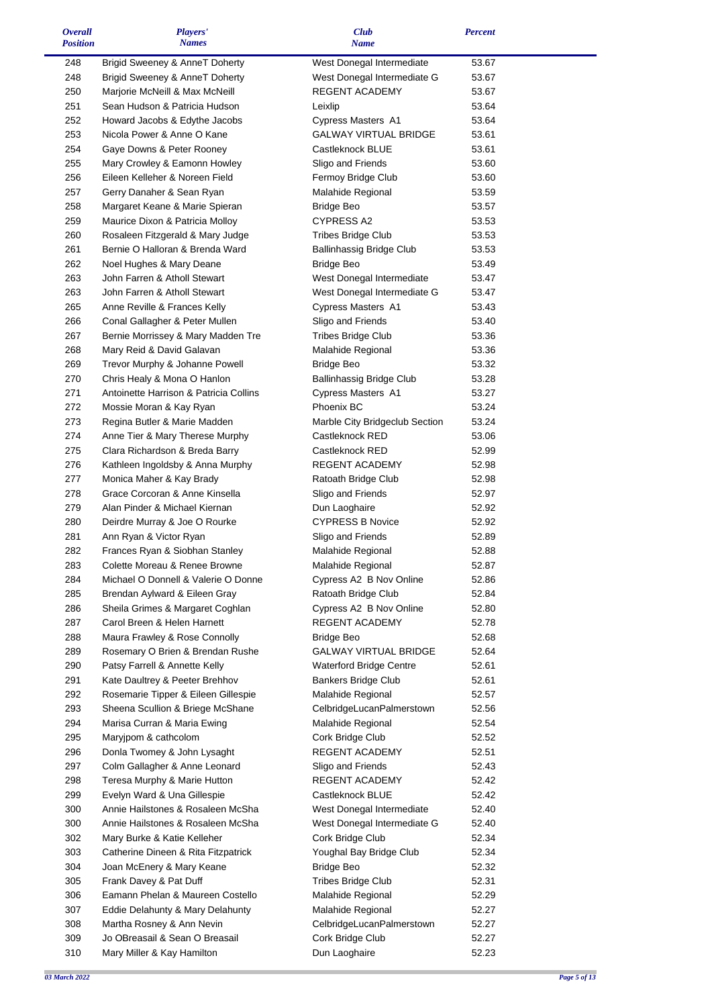| <i><b>Overall</b></i><br><b>Position</b> | Players'<br><b>Names</b>                                          | <b>Club</b><br><b>Name</b>                     | <b>Percent</b> |  |
|------------------------------------------|-------------------------------------------------------------------|------------------------------------------------|----------------|--|
| 248                                      | Brigid Sweeney & AnneT Doherty                                    | West Donegal Intermediate                      | 53.67          |  |
| 248                                      | Brigid Sweeney & AnneT Doherty                                    | West Donegal Intermediate G                    | 53.67          |  |
| 250                                      | Marjorie McNeill & Max McNeill                                    | REGENT ACADEMY                                 | 53.67          |  |
| 251                                      | Sean Hudson & Patricia Hudson                                     | Leixlip                                        | 53.64          |  |
| 252                                      | Howard Jacobs & Edythe Jacobs                                     | Cypress Masters A1                             | 53.64          |  |
| 253                                      | Nicola Power & Anne O Kane                                        | <b>GALWAY VIRTUAL BRIDGE</b>                   | 53.61          |  |
| 254                                      | Gaye Downs & Peter Rooney                                         | Castleknock BLUE                               | 53.61          |  |
| 255                                      | Mary Crowley & Eamonn Howley                                      | Sligo and Friends                              | 53.60          |  |
| 256                                      | Eileen Kelleher & Noreen Field                                    | Fermoy Bridge Club                             | 53.60          |  |
| 257                                      | Gerry Danaher & Sean Ryan                                         | Malahide Regional                              | 53.59          |  |
| 258                                      | Margaret Keane & Marie Spieran                                    | <b>Bridge Beo</b>                              | 53.57          |  |
| 259                                      | Maurice Dixon & Patricia Molloy                                   | CYPRESS A2                                     | 53.53          |  |
| 260                                      | Rosaleen Fitzgerald & Mary Judge                                  | <b>Tribes Bridge Club</b>                      | 53.53          |  |
| 261                                      | Bernie O Halloran & Brenda Ward                                   | Ballinhassig Bridge Club                       | 53.53          |  |
| 262                                      | Noel Hughes & Mary Deane                                          | <b>Bridge Beo</b>                              | 53.49          |  |
| 263                                      | John Farren & Atholl Stewart                                      | West Donegal Intermediate                      | 53.47          |  |
| 263                                      | John Farren & Atholl Stewart                                      | West Donegal Intermediate G                    | 53.47          |  |
| 265                                      | Anne Reville & Frances Kelly                                      | Cypress Masters A1                             | 53.43          |  |
| 266                                      | Conal Gallagher & Peter Mullen                                    | Sligo and Friends                              | 53.40          |  |
| 267                                      | Bernie Morrissey & Mary Madden Tre                                | <b>Tribes Bridge Club</b>                      | 53.36          |  |
| 268                                      | Mary Reid & David Galavan                                         | Malahide Regional                              | 53.36          |  |
| 269                                      | Trevor Murphy & Johanne Powell                                    | <b>Bridge Beo</b>                              | 53.32          |  |
| 270                                      | Chris Healy & Mona O Hanlon                                       | Ballinhassig Bridge Club                       | 53.28          |  |
| 271                                      | Antoinette Harrison & Patricia Collins                            | Cypress Masters A1                             | 53.27          |  |
| 272                                      | Mossie Moran & Kay Ryan                                           | <b>Phoenix BC</b>                              | 53.24          |  |
| 273                                      | Regina Butler & Marie Madden                                      | Marble City Bridgeclub Section                 | 53.24          |  |
| 274                                      | Anne Tier & Mary Therese Murphy                                   | Castleknock RED                                | 53.06          |  |
| 275                                      | Clara Richardson & Breda Barry                                    | Castleknock RED                                | 52.99          |  |
| 276                                      | Kathleen Ingoldsby & Anna Murphy                                  | REGENT ACADEMY                                 | 52.98          |  |
| 277                                      | Monica Maher & Kay Brady                                          | Ratoath Bridge Club                            | 52.98          |  |
| 278                                      | Grace Corcoran & Anne Kinsella                                    | Sligo and Friends                              | 52.97          |  |
| 279                                      | Alan Pinder & Michael Kiernan                                     | Dun Laoghaire                                  | 52.92          |  |
| 280                                      | Deirdre Murray & Joe O Rourke                                     | <b>CYPRESS B Novice</b>                        | 52.92          |  |
| 281                                      | Ann Ryan & Victor Ryan                                            | Sligo and Friends                              | 52.89          |  |
| 282                                      | Frances Ryan & Siobhan Stanley                                    | Malahide Regional                              | 52.88          |  |
| 283                                      | Colette Moreau & Renee Browne                                     | Malahide Regional                              | 52.87          |  |
| 284                                      | Michael O Donnell & Valerie O Donne                               | Cypress A2 B Nov Online                        | 52.86          |  |
| 285<br>286                               | Brendan Aylward & Eileen Gray<br>Sheila Grimes & Margaret Coghlan | Ratoath Bridge Club<br>Cypress A2 B Nov Online | 52.84<br>52.80 |  |
| 287                                      | Carol Breen & Helen Harnett                                       | REGENT ACADEMY                                 | 52.78          |  |
| 288                                      | Maura Frawley & Rose Connolly                                     |                                                | 52.68          |  |
| 289                                      | Rosemary O Brien & Brendan Rushe                                  | Bridge Beo<br><b>GALWAY VIRTUAL BRIDGE</b>     | 52.64          |  |
| 290                                      | Patsy Farrell & Annette Kelly                                     | Waterford Bridge Centre                        | 52.61          |  |
| 291                                      | Kate Daultrey & Peeter Brehhov                                    | <b>Bankers Bridge Club</b>                     | 52.61          |  |
| 292                                      | Rosemarie Tipper & Eileen Gillespie                               | Malahide Regional                              | 52.57          |  |
| 293                                      | Sheena Scullion & Briege McShane                                  | CelbridgeLucanPalmerstown                      | 52.56          |  |
| 294                                      | Marisa Curran & Maria Ewing                                       | Malahide Regional                              | 52.54          |  |
| 295                                      | Maryjpom & cathcolom                                              | Cork Bridge Club                               | 52.52          |  |
| 296                                      | Donla Twomey & John Lysaght                                       | REGENT ACADEMY                                 | 52.51          |  |
| 297                                      | Colm Gallagher & Anne Leonard                                     | Sligo and Friends                              | 52.43          |  |
| 298                                      | Teresa Murphy & Marie Hutton                                      | REGENT ACADEMY                                 | 52.42          |  |
| 299                                      | Evelyn Ward & Una Gillespie                                       | Castleknock BLUE                               | 52.42          |  |
| 300                                      | Annie Hailstones & Rosaleen McSha                                 | West Donegal Intermediate                      | 52.40          |  |
| 300                                      | Annie Hailstones & Rosaleen McSha                                 | West Donegal Intermediate G                    | 52.40          |  |
| 302                                      | Mary Burke & Katie Kelleher                                       | Cork Bridge Club                               | 52.34          |  |
| 303                                      | Catherine Dineen & Rita Fitzpatrick                               | Youghal Bay Bridge Club                        | 52.34          |  |
| 304                                      | Joan McEnery & Mary Keane                                         | Bridge Beo                                     | 52.32          |  |
| 305                                      | Frank Davey & Pat Duff                                            | <b>Tribes Bridge Club</b>                      | 52.31          |  |
| 306                                      | Eamann Phelan & Maureen Costello                                  | Malahide Regional                              | 52.29          |  |
| 307                                      | Eddie Delahunty & Mary Delahunty                                  | Malahide Regional                              | 52.27          |  |
| 308                                      | Martha Rosney & Ann Nevin                                         | CelbridgeLucanPalmerstown                      | 52.27          |  |
| 309                                      | Jo OBreasail & Sean O Breasail                                    | Cork Bridge Club                               | 52.27          |  |
| 310                                      | Mary Miller & Kay Hamilton                                        | Dun Laoghaire                                  | 52.23          |  |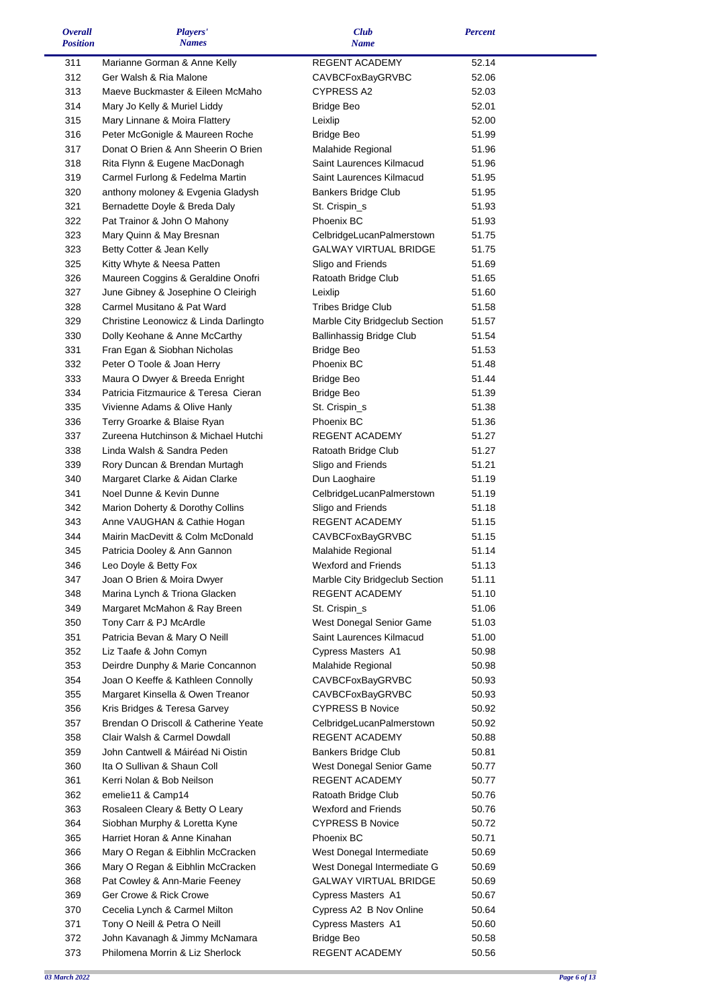| <b>Overall</b>  | Players'                              | <b>Club</b>                    | <b>Percent</b> |  |
|-----------------|---------------------------------------|--------------------------------|----------------|--|
| <b>Position</b> | <b>Names</b>                          | <b>Name</b>                    |                |  |
| 311             | Marianne Gorman & Anne Kelly          | REGENT ACADEMY                 | 52.14          |  |
| 312             | Ger Walsh & Ria Malone                | <b>CAVBCFoxBayGRVBC</b>        | 52.06          |  |
|                 | Maeve Buckmaster & Eileen McMaho      | CYPRESS A2                     |                |  |
| 313             |                                       |                                | 52.03          |  |
| 314             | Mary Jo Kelly & Muriel Liddy          | <b>Bridge Beo</b>              | 52.01          |  |
| 315             | Mary Linnane & Moira Flattery         | Leixlip                        | 52.00          |  |
| 316             | Peter McGonigle & Maureen Roche       | <b>Bridge Beo</b>              | 51.99          |  |
| 317             | Donat O Brien & Ann Sheerin O Brien   | Malahide Regional              | 51.96          |  |
| 318             | Rita Flynn & Eugene MacDonagh         | Saint Laurences Kilmacud       | 51.96          |  |
| 319             | Carmel Furlong & Fedelma Martin       | Saint Laurences Kilmacud       | 51.95          |  |
| 320             | anthony moloney & Evgenia Gladysh     | Bankers Bridge Club            | 51.95          |  |
| 321             | Bernadette Doyle & Breda Daly         | St. Crispin_s                  | 51.93          |  |
| 322             |                                       | Phoenix BC                     |                |  |
|                 | Pat Trainor & John O Mahony           |                                | 51.93          |  |
| 323             | Mary Quinn & May Bresnan              | CelbridgeLucanPalmerstown      | 51.75          |  |
| 323             | Betty Cotter & Jean Kelly             | GALWAY VIRTUAL BRIDGE          | 51.75          |  |
| 325             | Kitty Whyte & Neesa Patten            | Sligo and Friends              | 51.69          |  |
| 326             | Maureen Coggins & Geraldine Onofri    | Ratoath Bridge Club            | 51.65          |  |
| 327             | June Gibney & Josephine O Cleirigh    | Leixlip                        | 51.60          |  |
| 328             | Carmel Musitano & Pat Ward            | <b>Tribes Bridge Club</b>      | 51.58          |  |
| 329             | Christine Leonowicz & Linda Darlingto | Marble City Bridgeclub Section | 51.57          |  |
| 330             | Dolly Keohane & Anne McCarthy         | Ballinhassig Bridge Club       | 51.54          |  |
| 331             | Fran Egan & Siobhan Nicholas          | <b>Bridge Beo</b>              | 51.53          |  |
| 332             | Peter O Toole & Joan Herry            | Phoenix BC                     | 51.48          |  |
|                 |                                       |                                |                |  |
| 333             | Maura O Dwyer & Breeda Enright        | <b>Bridge Beo</b>              | 51.44          |  |
| 334             | Patricia Fitzmaurice & Teresa Cieran  | <b>Bridge Beo</b>              | 51.39          |  |
| 335             | Vivienne Adams & Olive Hanly          | St. Crispin_s                  | 51.38          |  |
| 336             | Terry Groarke & Blaise Ryan           | Phoenix BC                     | 51.36          |  |
| 337             | Zureena Hutchinson & Michael Hutchi   | REGENT ACADEMY                 | 51.27          |  |
| 338             | Linda Walsh & Sandra Peden            | Ratoath Bridge Club            | 51.27          |  |
| 339             | Rory Duncan & Brendan Murtagh         | Sligo and Friends              | 51.21          |  |
| 340             | Margaret Clarke & Aidan Clarke        | Dun Laoghaire                  | 51.19          |  |
| 341             | Noel Dunne & Kevin Dunne              | CelbridgeLucanPalmerstown      | 51.19          |  |
| 342             | Marion Doherty & Dorothy Collins      | Sligo and Friends              | 51.18          |  |
| 343             |                                       | REGENT ACADEMY                 | 51.15          |  |
|                 | Anne VAUGHAN & Cathie Hogan           |                                |                |  |
| 344             | Mairin MacDevitt & Colm McDonald      | <b>CAVBCFoxBayGRVBC</b>        | 51.15          |  |
| 345             | Patricia Dooley & Ann Gannon          | Malahide Regional              | 51.14          |  |
| 346             | Leo Doyle & Betty Fox                 | Wexford and Friends            | 51.13          |  |
| 347             | Joan O Brien & Moira Dwyer            | Marble City Bridgeclub Section | 51.11          |  |
| 348             | Marina Lynch & Triona Glacken         | <b>REGENT ACADEMY</b>          | 51.10          |  |
| 349             | Margaret McMahon & Ray Breen          | St. Crispin_s                  | 51.06          |  |
| 350             | Tony Carr & PJ McArdle                | West Donegal Senior Game       | 51.03          |  |
| 351             | Patricia Bevan & Mary O Neill         | Saint Laurences Kilmacud       | 51.00          |  |
| 352             | Liz Taafe & John Comyn                | Cypress Masters A1             | 50.98          |  |
| 353             | Deirdre Dunphy & Marie Concannon      | Malahide Regional              | 50.98          |  |
| 354             | Joan O Keeffe & Kathleen Connolly     | <b>CAVBCFoxBayGRVBC</b>        | 50.93          |  |
|                 |                                       |                                |                |  |
| 355             | Margaret Kinsella & Owen Treanor      | <b>CAVBCFoxBayGRVBC</b>        | 50.93          |  |
| 356             | Kris Bridges & Teresa Garvey          | <b>CYPRESS B Novice</b>        | 50.92          |  |
| 357             | Brendan O Driscoll & Catherine Yeate  | CelbridgeLucanPalmerstown      | 50.92          |  |
| 358             | Clair Walsh & Carmel Dowdall          | REGENT ACADEMY                 | 50.88          |  |
| 359             | John Cantwell & Máiréad Ni Oistin     | <b>Bankers Bridge Club</b>     | 50.81          |  |
| 360             | Ita O Sullivan & Shaun Coll           | West Donegal Senior Game       | 50.77          |  |
| 361             | Kerri Nolan & Bob Neilson             | REGENT ACADEMY                 | 50.77          |  |
| 362             | emelie11 & Camp14                     | Ratoath Bridge Club            | 50.76          |  |
| 363             | Rosaleen Cleary & Betty O Leary       | <b>Wexford and Friends</b>     | 50.76          |  |
| 364             | Siobhan Murphy & Loretta Kyne         | <b>CYPRESS B Novice</b>        | 50.72          |  |
| 365             | Harriet Horan & Anne Kinahan          | Phoenix BC                     | 50.71          |  |
| 366             |                                       |                                |                |  |
|                 | Mary O Regan & Eibhlin McCracken      | West Donegal Intermediate      | 50.69          |  |
| 366             | Mary O Regan & Eibhlin McCracken      | West Donegal Intermediate G    | 50.69          |  |
| 368             | Pat Cowley & Ann-Marie Feeney         | GALWAY VIRTUAL BRIDGE          | 50.69          |  |
| 369             | Ger Crowe & Rick Crowe                | Cypress Masters A1             | 50.67          |  |
| 370             | Cecelia Lynch & Carmel Milton         | Cypress A2 B Nov Online        | 50.64          |  |
| 371             | Tony O Neill & Petra O Neill          | Cypress Masters A1             | 50.60          |  |
| 372             | John Kavanagh & Jimmy McNamara        | <b>Bridge Beo</b>              | 50.58          |  |
| 373             | Philomena Morrin & Liz Sherlock       | REGENT ACADEMY                 | 50.56          |  |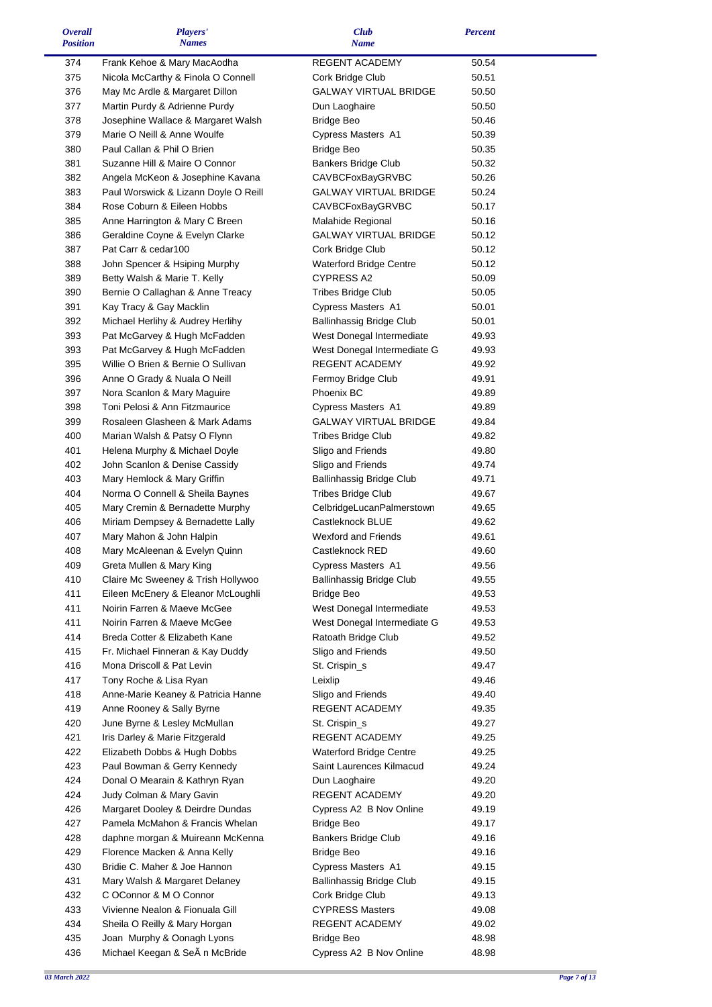| <i><b>Overall</b></i><br><b>Position</b> | Players'<br><b>Names</b>                                       | <b>Club</b><br><b>Name</b>                    | <b>Percent</b> |  |
|------------------------------------------|----------------------------------------------------------------|-----------------------------------------------|----------------|--|
| 374                                      | Frank Kehoe & Mary MacAodha                                    | REGENT ACADEMY                                | 50.54          |  |
| 375                                      | Nicola McCarthy & Finola O Connell                             | Cork Bridge Club                              | 50.51          |  |
| 376                                      | May Mc Ardle & Margaret Dillon                                 | <b>GALWAY VIRTUAL BRIDGE</b>                  | 50.50          |  |
| 377                                      | Martin Purdy & Adrienne Purdy                                  | Dun Laoghaire                                 | 50.50          |  |
| 378                                      | Josephine Wallace & Margaret Walsh                             | <b>Bridge Beo</b>                             | 50.46          |  |
| 379                                      | Marie O Neill & Anne Woulfe                                    | Cypress Masters A1                            | 50.39          |  |
| 380                                      | Paul Callan & Phil O Brien                                     | <b>Bridge Beo</b>                             | 50.35          |  |
| 381                                      | Suzanne Hill & Maire O Connor                                  | <b>Bankers Bridge Club</b>                    | 50.32          |  |
| 382                                      | Angela McKeon & Josephine Kavana                               | CAVBCFoxBayGRVBC                              | 50.26          |  |
| 383                                      | Paul Worswick & Lizann Doyle O Reill                           | <b>GALWAY VIRTUAL BRIDGE</b>                  | 50.24          |  |
| 384                                      | Rose Coburn & Eileen Hobbs                                     | <b>CAVBCFoxBayGRVBC</b>                       | 50.17          |  |
| 385                                      | Anne Harrington & Mary C Breen                                 | Malahide Regional                             | 50.16          |  |
| 386                                      | Geraldine Coyne & Evelyn Clarke                                | <b>GALWAY VIRTUAL BRIDGE</b>                  | 50.12          |  |
| 387                                      | Pat Carr & cedar100                                            | Cork Bridge Club                              | 50.12          |  |
| 388                                      | John Spencer & Hsiping Murphy                                  | Waterford Bridge Centre                       | 50.12          |  |
| 389                                      | Betty Walsh & Marie T. Kelly                                   | CYPRESS A2                                    | 50.09          |  |
| 390                                      | Bernie O Callaghan & Anne Treacy                               | <b>Tribes Bridge Club</b>                     | 50.05          |  |
| 391                                      | Kay Tracy & Gay Macklin                                        | Cypress Masters A1                            | 50.01          |  |
| 392                                      | Michael Herlihy & Audrey Herlihy                               | <b>Ballinhassig Bridge Club</b>               | 50.01          |  |
| 393                                      | Pat McGarvey & Hugh McFadden                                   | West Donegal Intermediate                     | 49.93          |  |
| 393                                      | Pat McGarvey & Hugh McFadden                                   | West Donegal Intermediate G                   | 49.93          |  |
| 395                                      | Willie O Brien & Bernie O Sullivan                             | <b>REGENT ACADEMY</b>                         | 49.92          |  |
| 396                                      | Anne O Grady & Nuala O Neill                                   | Fermoy Bridge Club                            | 49.91          |  |
| 397                                      | Nora Scanlon & Mary Maguire                                    | Phoenix BC                                    | 49.89          |  |
| 398                                      | Toni Pelosi & Ann Fitzmaurice                                  | Cypress Masters A1                            | 49.89          |  |
| 399                                      | Rosaleen Glasheen & Mark Adams                                 | <b>GALWAY VIRTUAL BRIDGE</b>                  | 49.84          |  |
| 400                                      | Marian Walsh & Patsy O Flynn                                   | <b>Tribes Bridge Club</b>                     | 49.82          |  |
| 401                                      | Helena Murphy & Michael Doyle                                  | Sligo and Friends                             | 49.80          |  |
| 402                                      | John Scanlon & Denise Cassidy                                  | Sligo and Friends                             | 49.74          |  |
| 403                                      | Mary Hemlock & Mary Griffin                                    | Ballinhassig Bridge Club                      | 49.71          |  |
| 404                                      | Norma O Connell & Sheila Baynes                                | Tribes Bridge Club                            | 49.67          |  |
| 405                                      | Mary Cremin & Bernadette Murphy                                | CelbridgeLucanPalmerstown<br>Castleknock BLUE | 49.65          |  |
| 406                                      | Miriam Dempsey & Bernadette Lally                              | Wexford and Friends                           | 49.62          |  |
| 407<br>408                               | Mary Mahon & John Halpin                                       | Castleknock RED                               | 49.61          |  |
| 409                                      | Mary McAleenan & Evelyn Quinn                                  | Cypress Masters A1                            | 49.60<br>49.56 |  |
| 410                                      | Greta Mullen & Mary King<br>Claire Mc Sweeney & Trish Hollywoo | Ballinhassig Bridge Club                      | 49.55          |  |
| 411                                      | Eileen McEnery & Eleanor McLoughli                             | <b>Bridge Beo</b>                             | 49.53          |  |
| 411                                      | Noirin Farren & Maeve McGee                                    | West Donegal Intermediate                     | 49.53          |  |
| 411                                      | Noirin Farren & Maeve McGee                                    | West Donegal Intermediate G                   | 49.53          |  |
| 414                                      | Breda Cotter & Elizabeth Kane                                  | Ratoath Bridge Club                           | 49.52          |  |
| 415                                      | Fr. Michael Finneran & Kay Duddy                               | Sligo and Friends                             | 49.50          |  |
| 416                                      | Mona Driscoll & Pat Levin                                      | St. Crispin_s                                 | 49.47          |  |
| 417                                      | Tony Roche & Lisa Ryan                                         | Leixlip                                       | 49.46          |  |
| 418                                      | Anne-Marie Keaney & Patricia Hanne                             | Sligo and Friends                             | 49.40          |  |
| 419                                      | Anne Rooney & Sally Byrne                                      | REGENT ACADEMY                                | 49.35          |  |
| 420                                      | June Byrne & Lesley McMullan                                   | St. Crispin_s                                 | 49.27          |  |
| 421                                      | Iris Darley & Marie Fitzgerald                                 | REGENT ACADEMY                                | 49.25          |  |
| 422                                      | Elizabeth Dobbs & Hugh Dobbs                                   | <b>Waterford Bridge Centre</b>                | 49.25          |  |
| 423                                      | Paul Bowman & Gerry Kennedy                                    | Saint Laurences Kilmacud                      | 49.24          |  |
| 424                                      | Donal O Mearain & Kathryn Ryan                                 | Dun Laoghaire                                 | 49.20          |  |
| 424                                      | Judy Colman & Mary Gavin                                       | REGENT ACADEMY                                | 49.20          |  |
| 426                                      | Margaret Dooley & Deirdre Dundas                               | Cypress A2 B Nov Online                       | 49.19          |  |
| 427                                      | Pamela McMahon & Francis Whelan                                | <b>Bridge Beo</b>                             | 49.17          |  |
| 428                                      | daphne morgan & Muireann McKenna                               | <b>Bankers Bridge Club</b>                    | 49.16          |  |
| 429                                      | Florence Macken & Anna Kelly                                   | <b>Bridge Beo</b>                             | 49.16          |  |
| 430                                      | Bridie C. Maher & Joe Hannon                                   | Cypress Masters A1                            | 49.15          |  |
| 431                                      | Mary Walsh & Margaret Delaney                                  | <b>Ballinhassig Bridge Club</b>               | 49.15          |  |
| 432                                      | C OConnor & M O Connor                                         | Cork Bridge Club                              | 49.13          |  |
| 433                                      | Vivienne Nealon & Fionuala Gill                                | <b>CYPRESS Masters</b>                        | 49.08          |  |
| 434                                      | Sheila O Reilly & Mary Horgan                                  | REGENT ACADEMY                                | 49.02          |  |
| 435                                      | Joan Murphy & Oonagh Lyons                                     | Bridge Beo                                    | 48.98          |  |
| 436                                      | Michael Keegan & SeA n McBride                                 | Cypress A2 B Nov Online                       | 48.98          |  |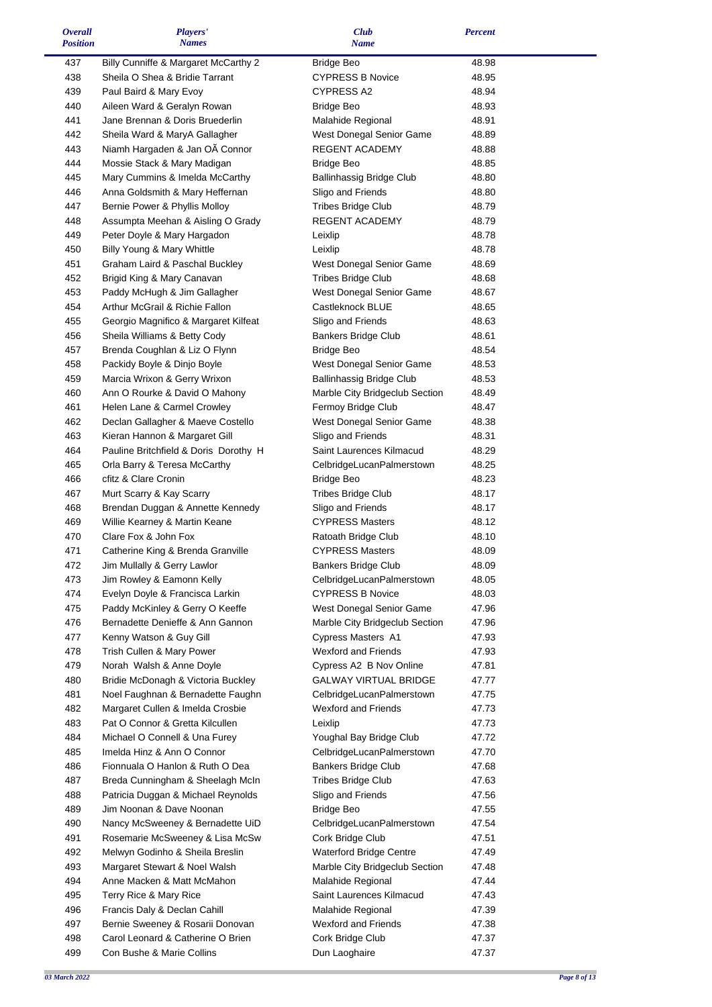| <b>Overall</b>  | Players'                              | <b>Club</b>                     | <b>Percent</b> |  |
|-----------------|---------------------------------------|---------------------------------|----------------|--|
| <b>Position</b> | <b>Names</b>                          | <b>Name</b>                     |                |  |
| 437             | Billy Cunniffe & Margaret McCarthy 2  | <b>Bridge Beo</b>               | 48.98          |  |
| 438             | Sheila O Shea & Bridie Tarrant        | <b>CYPRESS B Novice</b>         | 48.95          |  |
| 439             | Paul Baird & Mary Evoy                | <b>CYPRESS A2</b>               | 48.94          |  |
| 440             | Aileen Ward & Geralyn Rowan           | <b>Bridge Beo</b>               | 48.93          |  |
| 441             | Jane Brennan & Doris Bruederlin       | Malahide Regional               | 48.91          |  |
| 442             | Sheila Ward & MaryA Gallagher         | West Donegal Senior Game        | 48.89          |  |
| 443             | Niamh Hargaden & Jan OA Connor        | REGENT ACADEMY                  | 48.88          |  |
| 444             | Mossie Stack & Mary Madigan           | <b>Bridge Beo</b>               | 48.85          |  |
| 445             | Mary Cummins & Imelda McCarthy        | Ballinhassig Bridge Club        | 48.80          |  |
| 446             | Anna Goldsmith & Mary Heffernan       | Sligo and Friends               | 48.80          |  |
| 447             | Bernie Power & Phyllis Molloy         | <b>Tribes Bridge Club</b>       | 48.79          |  |
| 448             | Assumpta Meehan & Aisling O Grady     | REGENT ACADEMY                  | 48.79          |  |
| 449             | Peter Doyle & Mary Hargadon           | Leixlip                         | 48.78          |  |
| 450             | Billy Young & Mary Whittle            | Leixlip                         | 48.78          |  |
| 451             | Graham Laird & Paschal Buckley        | West Donegal Senior Game        | 48.69          |  |
| 452             | Brigid King & Mary Canavan            | Tribes Bridge Club              | 48.68          |  |
| 453             | Paddy McHugh & Jim Gallagher          | West Donegal Senior Game        | 48.67          |  |
| 454             | Arthur McGrail & Richie Fallon        | Castleknock BLUE                | 48.65          |  |
| 455             | Georgio Magnifico & Margaret Kilfeat  | Sligo and Friends               | 48.63          |  |
| 456             | Sheila Williams & Betty Cody          | <b>Bankers Bridge Club</b>      | 48.61          |  |
| 457             | Brenda Coughlan & Liz O Flynn         | <b>Bridge Beo</b>               | 48.54          |  |
| 458             | Packidy Boyle & Dinjo Boyle           | West Donegal Senior Game        | 48.53          |  |
| 459             | Marcia Wrixon & Gerry Wrixon          | <b>Ballinhassig Bridge Club</b> | 48.53          |  |
| 460             | Ann O Rourke & David O Mahony         | Marble City Bridgeclub Section  | 48.49          |  |
| 461             | Helen Lane & Carmel Crowley           | Fermoy Bridge Club              | 48.47          |  |
| 462             | Declan Gallagher & Maeve Costello     | West Donegal Senior Game        | 48.38          |  |
| 463             | Kieran Hannon & Margaret Gill         | Sligo and Friends               | 48.31          |  |
| 464             | Pauline Britchfield & Doris Dorothy H | Saint Laurences Kilmacud        | 48.29          |  |
| 465             | Orla Barry & Teresa McCarthy          | CelbridgeLucanPalmerstown       | 48.25          |  |
| 466             | cfitz & Clare Cronin                  | <b>Bridge Beo</b>               | 48.23          |  |
| 467             | Murt Scarry & Kay Scarry              | <b>Tribes Bridge Club</b>       | 48.17          |  |
| 468             | Brendan Duggan & Annette Kennedy      | Sligo and Friends               | 48.17          |  |
| 469             | Willie Kearney & Martin Keane         | <b>CYPRESS Masters</b>          | 48.12          |  |
| 470             | Clare Fox & John Fox                  | Ratoath Bridge Club             | 48.10          |  |
| 471             | Catherine King & Brenda Granville     | <b>CYPRESS Masters</b>          | 48.09          |  |
| 472             | Jim Mullally & Gerry Lawlor           | <b>Bankers Bridge Club</b>      | 48.09          |  |
| 473             | Jim Rowley & Eamonn Kelly             | CelbridgeLucanPalmerstown       | 48.05          |  |
| 474             | Evelyn Doyle & Francisca Larkin       | <b>CYPRESS B Novice</b>         | 48.03          |  |
| 475             | Paddy McKinley & Gerry O Keeffe       | West Donegal Senior Game        | 47.96          |  |
| 476             | Bernadette Denieffe & Ann Gannon      | Marble City Bridgeclub Section  | 47.96          |  |
| 477             | Kenny Watson & Guy Gill               | Cypress Masters A1              | 47.93          |  |
| 478             | Trish Cullen & Mary Power             | <b>Wexford and Friends</b>      | 47.93          |  |
| 479             | Norah Walsh & Anne Doyle              | Cypress A2 B Nov Online         | 47.81          |  |
| 480             | Bridie McDonagh & Victoria Buckley    | <b>GALWAY VIRTUAL BRIDGE</b>    | 47.77          |  |
| 481             | Noel Faughnan & Bernadette Faughn     | CelbridgeLucanPalmerstown       | 47.75          |  |
| 482             | Margaret Cullen & Imelda Crosbie      | <b>Wexford and Friends</b>      | 47.73          |  |
| 483             | Pat O Connor & Gretta Kilcullen       | Leixlip                         | 47.73          |  |
| 484             | Michael O Connell & Una Furey         | Youghal Bay Bridge Club         | 47.72          |  |
| 485             | Imelda Hinz & Ann O Connor            | CelbridgeLucanPalmerstown       | 47.70          |  |
| 486             | Fionnuala O Hanlon & Ruth O Dea       | <b>Bankers Bridge Club</b>      | 47.68          |  |
| 487             | Breda Cunningham & Sheelagh McIn      | <b>Tribes Bridge Club</b>       | 47.63          |  |
| 488             | Patricia Duggan & Michael Reynolds    | Sligo and Friends               | 47.56          |  |
| 489             | Jim Noonan & Dave Noonan              | <b>Bridge Beo</b>               | 47.55          |  |
| 490             | Nancy McSweeney & Bernadette UiD      | CelbridgeLucanPalmerstown       | 47.54          |  |
| 491             | Rosemarie McSweeney & Lisa McSw       | Cork Bridge Club                | 47.51          |  |
| 492             | Melwyn Godinho & Sheila Breslin       | <b>Waterford Bridge Centre</b>  | 47.49          |  |
| 493             | Margaret Stewart & Noel Walsh         | Marble City Bridgeclub Section  | 47.48          |  |
| 494             | Anne Macken & Matt McMahon            | Malahide Regional               | 47.44          |  |
| 495             | Terry Rice & Mary Rice                | Saint Laurences Kilmacud        | 47.43          |  |
| 496             | Francis Daly & Declan Cahill          | Malahide Regional               | 47.39          |  |
| 497             | Bernie Sweeney & Rosarii Donovan      | <b>Wexford and Friends</b>      | 47.38          |  |
| 498             | Carol Leonard & Catherine O Brien     | Cork Bridge Club                | 47.37          |  |
| 499             | Con Bushe & Marie Collins             | Dun Laoghaire                   | 47.37          |  |

and<br>Talah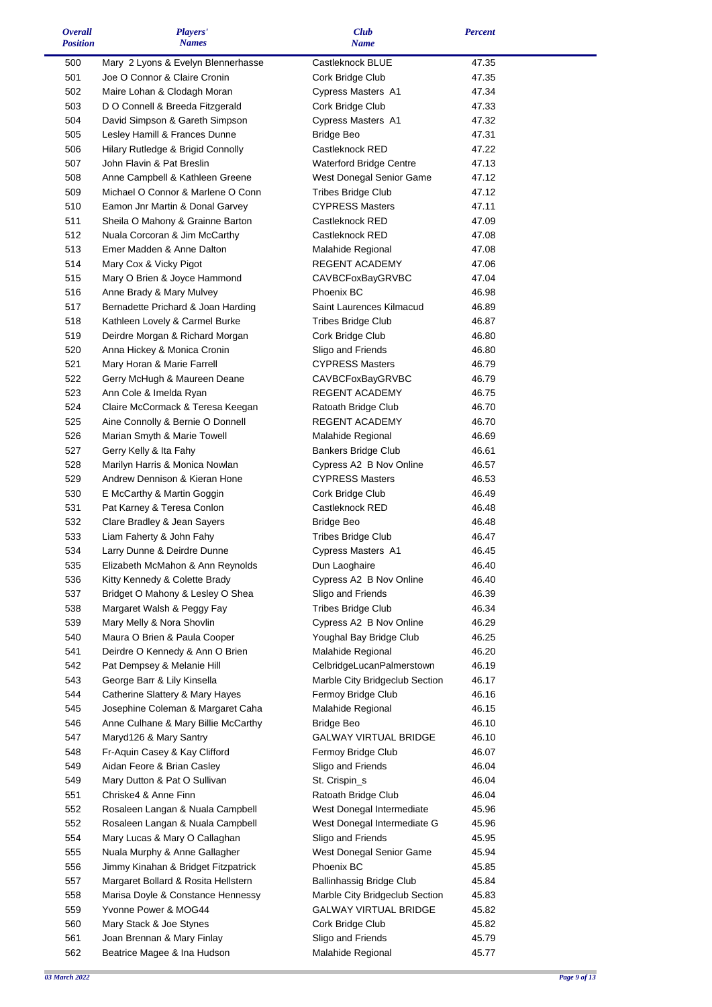| <i><b>Overall</b></i><br><b>Position</b> | Players'<br><b>Names</b>                                   | <b>Club</b><br><b>Name</b>            | <b>Percent</b> |  |
|------------------------------------------|------------------------------------------------------------|---------------------------------------|----------------|--|
| 500                                      | Mary 2 Lyons & Evelyn Blennerhasse                         | Castleknock BLUE                      | 47.35          |  |
| 501                                      | Joe O Connor & Claire Cronin                               | Cork Bridge Club                      | 47.35          |  |
| 502                                      | Maire Lohan & Clodagh Moran                                | Cypress Masters A1                    | 47.34          |  |
| 503                                      | D O Connell & Breeda Fitzgerald                            | Cork Bridge Club                      | 47.33          |  |
| 504                                      | David Simpson & Gareth Simpson                             | Cypress Masters A1                    | 47.32          |  |
| 505                                      | Lesley Hamill & Frances Dunne                              | <b>Bridge Beo</b>                     | 47.31          |  |
| 506                                      | Hilary Rutledge & Brigid Connolly                          | Castleknock RED                       | 47.22          |  |
| 507                                      | John Flavin & Pat Breslin                                  | <b>Waterford Bridge Centre</b>        | 47.13          |  |
| 508                                      | Anne Campbell & Kathleen Greene                            | West Donegal Senior Game              | 47.12          |  |
| 509                                      | Michael O Connor & Marlene O Conn                          | <b>Tribes Bridge Club</b>             | 47.12          |  |
| 510                                      | Eamon Jnr Martin & Donal Garvey                            | <b>CYPRESS Masters</b>                | 47.11          |  |
| 511                                      | Sheila O Mahony & Grainne Barton                           | Castleknock RED                       | 47.09          |  |
| 512                                      | Nuala Corcoran & Jim McCarthy                              | Castleknock RED                       | 47.08          |  |
| 513                                      | Emer Madden & Anne Dalton                                  | Malahide Regional                     | 47.08          |  |
| 514                                      | Mary Cox & Vicky Pigot                                     | REGENT ACADEMY                        | 47.06          |  |
| 515                                      | Mary O Brien & Joyce Hammond                               | CAVBCFoxBayGRVBC                      | 47.04          |  |
| 516                                      | Anne Brady & Mary Mulvey                                   | Phoenix BC                            | 46.98          |  |
| 517                                      | Bernadette Prichard & Joan Harding                         | Saint Laurences Kilmacud              | 46.89          |  |
| 518                                      | Kathleen Lovely & Carmel Burke                             | <b>Tribes Bridge Club</b>             | 46.87          |  |
| 519                                      | Deirdre Morgan & Richard Morgan                            | Cork Bridge Club                      | 46.80          |  |
| 520                                      | Anna Hickey & Monica Cronin                                | Sligo and Friends                     | 46.80          |  |
| 521                                      | Mary Horan & Marie Farrell                                 | <b>CYPRESS Masters</b>                | 46.79          |  |
| 522<br>523                               | Gerry McHugh & Maureen Deane                               | CAVBCFoxBayGRVBC<br>REGENT ACADEMY    | 46.79          |  |
| 524                                      | Ann Cole & Imelda Ryan<br>Claire McCormack & Teresa Keegan | Ratoath Bridge Club                   | 46.75<br>46.70 |  |
| 525                                      | Aine Connolly & Bernie O Donnell                           | REGENT ACADEMY                        | 46.70          |  |
| 526                                      | Marian Smyth & Marie Towell                                | Malahide Regional                     | 46.69          |  |
| 527                                      | Gerry Kelly & Ita Fahy                                     | <b>Bankers Bridge Club</b>            | 46.61          |  |
| 528                                      | Marilyn Harris & Monica Nowlan                             | Cypress A2 B Nov Online               | 46.57          |  |
| 529                                      | Andrew Dennison & Kieran Hone                              | <b>CYPRESS Masters</b>                | 46.53          |  |
| 530                                      | E McCarthy & Martin Goggin                                 | Cork Bridge Club                      | 46.49          |  |
| 531                                      | Pat Karney & Teresa Conlon                                 | Castleknock RED                       | 46.48          |  |
| 532                                      | Clare Bradley & Jean Sayers                                | <b>Bridge Beo</b>                     | 46.48          |  |
| 533                                      | Liam Faherty & John Fahy                                   | <b>Tribes Bridge Club</b>             | 46.47          |  |
| 534                                      | Larry Dunne & Deirdre Dunne                                | Cypress Masters A1                    | 46.45          |  |
| 535                                      | Elizabeth McMahon & Ann Reynolds                           | Dun Laoghaire                         | 46.40          |  |
| 536                                      | Kitty Kennedy & Colette Brady                              | Cypress A2 B Nov Online               | 46.40          |  |
| 537                                      | Bridget O Mahony & Lesley O Shea                           | Sligo and Friends                     | 46.39          |  |
| 538                                      | Margaret Walsh & Peggy Fay                                 | <b>Tribes Bridge Club</b>             | 46.34          |  |
| 539                                      | Mary Melly & Nora Shovlin                                  | Cypress A2 B Nov Online               | 46.29          |  |
| 540                                      | Maura O Brien & Paula Cooper                               | Youghal Bay Bridge Club               | 46.25          |  |
| 541                                      | Deirdre O Kennedy & Ann O Brien                            | Malahide Regional                     | 46.20          |  |
| 542                                      | Pat Dempsey & Melanie Hill                                 | CelbridgeLucanPalmerstown             | 46.19          |  |
| 543                                      | George Barr & Lily Kinsella                                | Marble City Bridgeclub Section        | 46.17          |  |
| 544                                      | Catherine Slattery & Mary Hayes                            | Fermoy Bridge Club                    | 46.16          |  |
| 545                                      | Josephine Coleman & Margaret Caha                          | Malahide Regional                     | 46.15          |  |
| 546                                      | Anne Culhane & Mary Billie McCarthy                        | <b>Bridge Beo</b>                     | 46.10          |  |
| 547                                      | Maryd126 & Mary Santry                                     | <b>GALWAY VIRTUAL BRIDGE</b>          | 46.10          |  |
| 548                                      | Fr-Aquin Casey & Kay Clifford                              | Fermoy Bridge Club                    | 46.07          |  |
| 549                                      | Aidan Feore & Brian Casley                                 | Sligo and Friends                     | 46.04          |  |
| 549                                      | Mary Dutton & Pat O Sullivan                               | St. Crispin_s                         | 46.04          |  |
| 551                                      | Chriske4 & Anne Finn                                       | Ratoath Bridge Club                   | 46.04          |  |
| 552                                      | Rosaleen Langan & Nuala Campbell                           | West Donegal Intermediate             | 45.96          |  |
| 552                                      | Rosaleen Langan & Nuala Campbell                           | West Donegal Intermediate G           | 45.96          |  |
| 554                                      | Mary Lucas & Mary O Callaghan                              | Sligo and Friends                     | 45.95          |  |
| 555                                      | Nuala Murphy & Anne Gallagher                              | West Donegal Senior Game              | 45.94          |  |
| 556<br>557                               | Jimmy Kinahan & Bridget Fitzpatrick                        | Phoenix BC                            | 45.85          |  |
| 558                                      | Margaret Bollard & Rosita Hellstern                        | Ballinhassig Bridge Club              | 45.84          |  |
|                                          |                                                            |                                       |                |  |
|                                          | Marisa Doyle & Constance Hennessy                          | Marble City Bridgeclub Section        | 45.83          |  |
| 559                                      | Yvonne Power & MOG44                                       | <b>GALWAY VIRTUAL BRIDGE</b>          | 45.82          |  |
| 560<br>561                               | Mary Stack & Joe Stynes<br>Joan Brennan & Mary Finlay      | Cork Bridge Club<br>Sligo and Friends | 45.82<br>45.79 |  |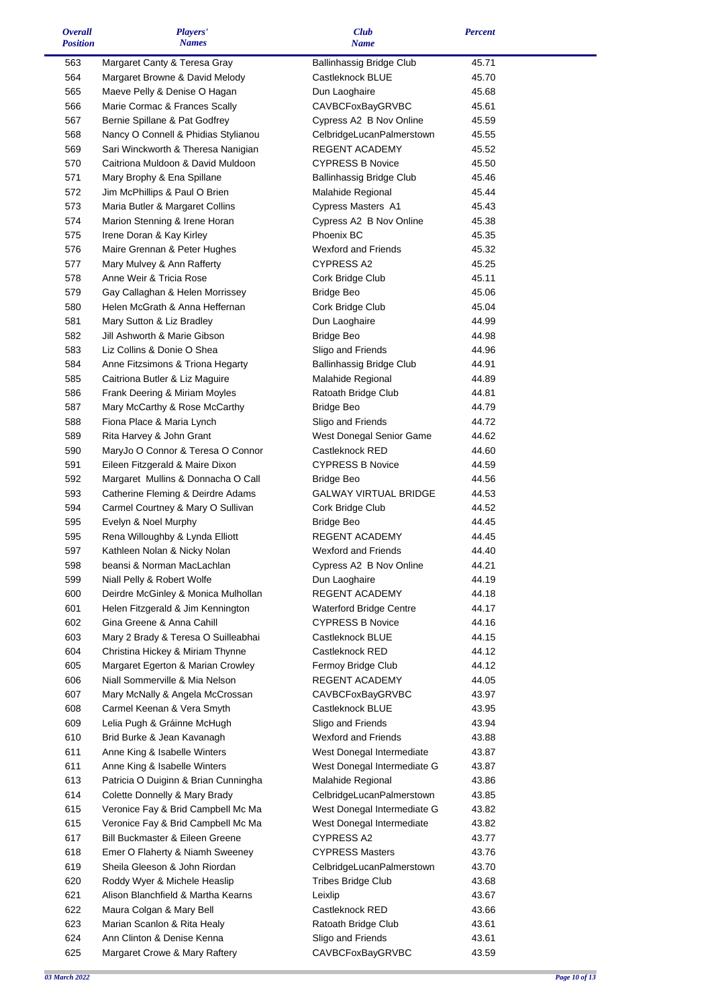| <b>Overall</b><br><b>Position</b> | Players'<br><b>Names</b>                                       | <b>Club</b><br><b>Name</b>                       | <b>Percent</b> |  |
|-----------------------------------|----------------------------------------------------------------|--------------------------------------------------|----------------|--|
| 563                               | Margaret Canty & Teresa Gray                                   | <b>Ballinhassig Bridge Club</b>                  | 45.71          |  |
| 564                               | Margaret Browne & David Melody                                 | Castleknock BLUE                                 | 45.70          |  |
| 565                               | Maeve Pelly & Denise O Hagan                                   | Dun Laoghaire                                    | 45.68          |  |
| 566                               | Marie Cormac & Frances Scally                                  | CAVBCFoxBayGRVBC                                 | 45.61          |  |
| 567                               | Bernie Spillane & Pat Godfrey                                  | Cypress A2 B Nov Online                          | 45.59          |  |
| 568                               | Nancy O Connell & Phidias Stylianou                            | CelbridgeLucanPalmerstown                        | 45.55          |  |
| 569                               | Sari Winckworth & Theresa Nanigian                             | REGENT ACADEMY                                   | 45.52          |  |
| 570                               | Caitriona Muldoon & David Muldoon                              | <b>CYPRESS B Novice</b>                          | 45.50          |  |
| 571                               | Mary Brophy & Ena Spillane                                     | <b>Ballinhassig Bridge Club</b>                  | 45.46          |  |
| 572                               | Jim McPhillips & Paul O Brien                                  | Malahide Regional                                | 45.44          |  |
| 573                               | Maria Butler & Margaret Collins                                | Cypress Masters A1                               | 45.43          |  |
| 574                               | Marion Stenning & Irene Horan                                  | Cypress A2 B Nov Online                          | 45.38          |  |
| 575                               | Irene Doran & Kay Kirley                                       | Phoenix BC                                       | 45.35          |  |
| 576                               | Maire Grennan & Peter Hughes                                   | <b>Wexford and Friends</b>                       | 45.32          |  |
| 577                               | Mary Mulvey & Ann Rafferty                                     | <b>CYPRESS A2</b>                                | 45.25          |  |
| 578<br>579                        | Anne Weir & Tricia Rose<br>Gay Callaghan & Helen Morrissey     | Cork Bridge Club                                 | 45.11<br>45.06 |  |
| 580                               | Helen McGrath & Anna Heffernan                                 | <b>Bridge Beo</b><br>Cork Bridge Club            | 45.04          |  |
| 581                               | Mary Sutton & Liz Bradley                                      | Dun Laoghaire                                    | 44.99          |  |
| 582                               | Jill Ashworth & Marie Gibson                                   | <b>Bridge Beo</b>                                | 44.98          |  |
| 583                               | Liz Collins & Donie O Shea                                     | Sligo and Friends                                | 44.96          |  |
| 584                               | Anne Fitzsimons & Triona Hegarty                               | <b>Ballinhassig Bridge Club</b>                  | 44.91          |  |
| 585                               | Caitriona Butler & Liz Maguire                                 | Malahide Regional                                | 44.89          |  |
| 586                               | Frank Deering & Miriam Moyles                                  | Ratoath Bridge Club                              | 44.81          |  |
| 587                               | Mary McCarthy & Rose McCarthy                                  | <b>Bridge Beo</b>                                | 44.79          |  |
| 588                               | Fiona Place & Maria Lynch                                      | Sligo and Friends                                | 44.72          |  |
| 589                               | Rita Harvey & John Grant                                       | West Donegal Senior Game                         | 44.62          |  |
| 590                               | MaryJo O Connor & Teresa O Connor                              | Castleknock RED                                  | 44.60          |  |
| 591                               | Eileen Fitzgerald & Maire Dixon                                | <b>CYPRESS B Novice</b>                          | 44.59          |  |
| 592                               | Margaret Mullins & Donnacha O Call                             | <b>Bridge Beo</b>                                | 44.56          |  |
| 593                               | Catherine Fleming & Deirdre Adams                              | GALWAY VIRTUAL BRIDGE                            | 44.53          |  |
| 594                               | Carmel Courtney & Mary O Sullivan                              | Cork Bridge Club                                 | 44.52          |  |
| 595                               | Evelyn & Noel Murphy                                           | <b>Bridge Beo</b>                                | 44.45          |  |
| 595                               | Rena Willoughby & Lynda Elliott                                | REGENT ACADEMY                                   | 44.45          |  |
| 597                               | Kathleen Nolan & Nicky Nolan                                   | Wexford and Friends                              | 44.40          |  |
| 598                               | beansi & Norman MacLachlan                                     | Cypress A2 B Nov Online                          | 44.21          |  |
| 599                               | Niall Pelly & Robert Wolfe                                     | Dun Laoghaire                                    | 44.19          |  |
| 600<br>601                        | Deirdre McGinley & Monica Mulhollan                            | REGENT ACADEMY<br><b>Waterford Bridge Centre</b> | 44.18<br>44.17 |  |
| 602                               | Helen Fitzgerald & Jim Kennington<br>Gina Greene & Anna Cahill | <b>CYPRESS B Novice</b>                          | 44.16          |  |
| 603                               | Mary 2 Brady & Teresa O Suilleabhai                            | Castleknock BLUE                                 | 44.15          |  |
| 604                               | Christina Hickey & Miriam Thynne                               | Castleknock RED                                  | 44.12          |  |
| 605                               | Margaret Egerton & Marian Crowley                              | Fermoy Bridge Club                               | 44.12          |  |
| 606                               | Niall Sommerville & Mia Nelson                                 | REGENT ACADEMY                                   | 44.05          |  |
| 607                               | Mary McNally & Angela McCrossan                                | <b>CAVBCFoxBayGRVBC</b>                          | 43.97          |  |
| 608                               | Carmel Keenan & Vera Smyth                                     | Castleknock BLUE                                 | 43.95          |  |
| 609                               | Lelia Pugh & Gráinne McHugh                                    | Sligo and Friends                                | 43.94          |  |
| 610                               | Brid Burke & Jean Kavanagh                                     | <b>Wexford and Friends</b>                       | 43.88          |  |
| 611                               | Anne King & Isabelle Winters                                   | West Donegal Intermediate                        | 43.87          |  |
| 611                               | Anne King & Isabelle Winters                                   | West Donegal Intermediate G                      | 43.87          |  |
| 613                               | Patricia O Duiginn & Brian Cunningha                           | Malahide Regional                                | 43.86          |  |
| 614                               | Colette Donnelly & Mary Brady                                  | CelbridgeLucanPalmerstown                        | 43.85          |  |
| 615                               | Veronice Fay & Brid Campbell Mc Ma                             | West Donegal Intermediate G                      | 43.82          |  |
| 615                               | Veronice Fay & Brid Campbell Mc Ma                             | West Donegal Intermediate                        | 43.82          |  |
| 617                               | Bill Buckmaster & Eileen Greene                                | CYPRESS A2                                       | 43.77          |  |
| 618                               | Emer O Flaherty & Niamh Sweeney                                | <b>CYPRESS Masters</b>                           | 43.76          |  |
| 619                               | Sheila Gleeson & John Riordan                                  | CelbridgeLucanPalmerstown                        | 43.70          |  |
| 620                               | Roddy Wyer & Michele Heaslip                                   | <b>Tribes Bridge Club</b>                        | 43.68          |  |
| 621                               | Alison Blanchfield & Martha Kearns                             | Leixlip                                          | 43.67          |  |
| 622<br>623                        | Maura Colgan & Mary Bell<br>Marian Scanlon & Rita Healy        | Castleknock RED<br>Ratoath Bridge Club           | 43.66<br>43.61 |  |
| 624                               | Ann Clinton & Denise Kenna                                     | Sligo and Friends                                | 43.61          |  |
| 625                               | Margaret Crowe & Mary Raftery                                  | <b>CAVBCFoxBayGRVBC</b>                          | 43.59          |  |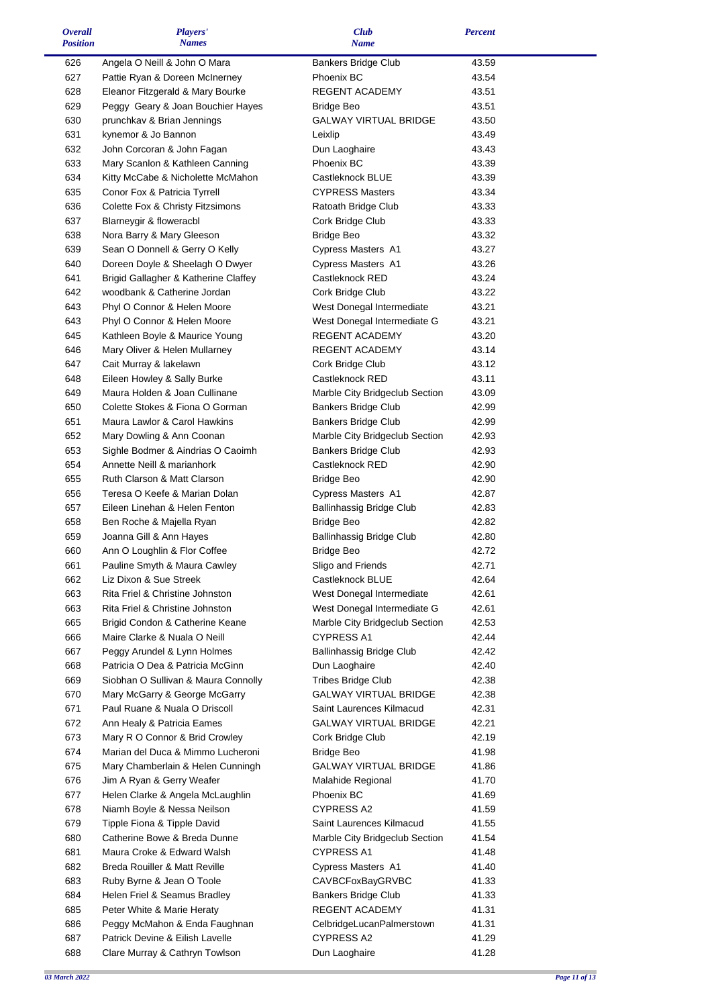| <b>Overall</b><br><b>Position</b> | Players'                                                    | <b>Club</b>                                              | <b>Percent</b> |  |
|-----------------------------------|-------------------------------------------------------------|----------------------------------------------------------|----------------|--|
|                                   | <b>Names</b>                                                | Name                                                     |                |  |
| 626                               | Angela O Neill & John O Mara                                | <b>Bankers Bridge Club</b>                               | 43.59          |  |
| 627                               | Pattie Ryan & Doreen McInerney                              | Phoenix BC                                               | 43.54          |  |
| 628                               | Eleanor Fitzgerald & Mary Bourke                            | REGENT ACADEMY                                           | 43.51          |  |
| 629                               | Peggy Geary & Joan Bouchier Hayes                           | <b>Bridge Beo</b>                                        | 43.51          |  |
| 630                               | prunchkav & Brian Jennings                                  | <b>GALWAY VIRTUAL BRIDGE</b>                             | 43.50          |  |
| 631                               | kynemor & Jo Bannon                                         | Leixlip                                                  | 43.49          |  |
| 632                               | John Corcoran & John Fagan                                  | Dun Laoghaire                                            | 43.43          |  |
| 633                               | Mary Scanlon & Kathleen Canning                             | Phoenix BC                                               | 43.39          |  |
| 634                               | Kitty McCabe & Nicholette McMahon                           | Castleknock BLUE                                         | 43.39          |  |
| 635                               | Conor Fox & Patricia Tyrrell                                | <b>CYPRESS Masters</b>                                   | 43.34          |  |
| 636                               | Colette Fox & Christy Fitzsimons                            | Ratoath Bridge Club                                      | 43.33          |  |
| 637                               | Blarneygir & floweracbl                                     | Cork Bridge Club                                         | 43.33          |  |
| 638                               | Nora Barry & Mary Gleeson                                   | <b>Bridge Beo</b>                                        | 43.32          |  |
| 639                               | Sean O Donnell & Gerry O Kelly                              | Cypress Masters A1                                       | 43.27          |  |
| 640                               | Doreen Doyle & Sheelagh O Dwyer                             | Cypress Masters A1                                       | 43.26          |  |
| 641                               | Brigid Gallagher & Katherine Claffey                        | Castleknock RED                                          | 43.24          |  |
| 642                               | woodbank & Catherine Jordan                                 | Cork Bridge Club                                         | 43.22          |  |
| 643                               | Phyl O Connor & Helen Moore                                 | West Donegal Intermediate                                | 43.21          |  |
| 643                               | Phyl O Connor & Helen Moore                                 | West Donegal Intermediate G                              | 43.21          |  |
| 645                               | Kathleen Boyle & Maurice Young                              | REGENT ACADEMY                                           | 43.20          |  |
| 646                               | Mary Oliver & Helen Mullarney                               | <b>REGENT ACADEMY</b>                                    | 43.14          |  |
| 647                               | Cait Murray & lakelawn                                      | Cork Bridge Club                                         | 43.12          |  |
| 648                               | Eileen Howley & Sally Burke                                 | Castleknock RED                                          | 43.11          |  |
| 649                               | Maura Holden & Joan Cullinane                               | Marble City Bridgeclub Section                           | 43.09          |  |
| 650                               | Colette Stokes & Fiona O Gorman                             | Bankers Bridge Club                                      | 42.99          |  |
| 651                               | Maura Lawlor & Carol Hawkins                                | Bankers Bridge Club                                      | 42.99          |  |
| 652                               | Mary Dowling & Ann Coonan                                   | Marble City Bridgeclub Section                           | 42.93          |  |
| 653                               | Sighle Bodmer & Aindrias O Caoimh                           | Bankers Bridge Club                                      | 42.93          |  |
| 654                               | Annette Neill & marianhork                                  | Castleknock RED                                          | 42.90          |  |
| 655                               | Ruth Clarson & Matt Clarson                                 | <b>Bridge Beo</b>                                        | 42.90          |  |
| 656                               | Teresa O Keefe & Marian Dolan                               | Cypress Masters A1                                       | 42.87          |  |
| 657                               | Eileen Linehan & Helen Fenton                               | <b>Ballinhassig Bridge Club</b>                          | 42.83          |  |
| 658                               | Ben Roche & Majella Ryan                                    | <b>Bridge Beo</b>                                        | 42.82          |  |
| 659                               | Joanna Gill & Ann Hayes                                     | <b>Ballinhassig Bridge Club</b>                          | 42.80          |  |
| 660                               | Ann O Loughlin & Flor Coffee                                | <b>Bridge Beo</b>                                        | 42.72          |  |
| 661                               | Pauline Smyth & Maura Cawley                                | Sligo and Friends                                        | 42.71          |  |
| 662                               | Liz Dixon & Sue Streek                                      | Castleknock BLUE                                         | 42.64          |  |
| 663                               | Rita Friel & Christine Johnston                             | West Donegal Intermediate<br>West Donegal Intermediate G | 42.61          |  |
| 663                               | Rita Friel & Christine Johnston                             |                                                          | 42.61          |  |
| 665<br>666                        | Brigid Condon & Catherine Keane                             | Marble City Bridgeclub Section<br><b>CYPRESS A1</b>      | 42.53          |  |
| 667                               | Maire Clarke & Nuala O Neill<br>Peggy Arundel & Lynn Holmes | <b>Ballinhassig Bridge Club</b>                          | 42.44<br>42.42 |  |
| 668                               | Patricia O Dea & Patricia McGinn                            | Dun Laoghaire                                            | 42.40          |  |
| 669                               | Siobhan O Sullivan & Maura Connolly                         | <b>Tribes Bridge Club</b>                                | 42.38          |  |
| 670                               | Mary McGarry & George McGarry                               | <b>GALWAY VIRTUAL BRIDGE</b>                             | 42.38          |  |
| 671                               | Paul Ruane & Nuala O Driscoll                               | Saint Laurences Kilmacud                                 | 42.31          |  |
| 672                               | Ann Healy & Patricia Eames                                  | <b>GALWAY VIRTUAL BRIDGE</b>                             | 42.21          |  |
| 673                               | Mary R O Connor & Brid Crowley                              | Cork Bridge Club                                         | 42.19          |  |
| 674                               | Marian del Duca & Mimmo Lucheroni                           | <b>Bridge Beo</b>                                        | 41.98          |  |
| 675                               | Mary Chamberlain & Helen Cunningh                           | <b>GALWAY VIRTUAL BRIDGE</b>                             | 41.86          |  |
| 676                               | Jim A Ryan & Gerry Weafer                                   | Malahide Regional                                        | 41.70          |  |
| 677                               | Helen Clarke & Angela McLaughlin                            | Phoenix BC                                               | 41.69          |  |
| 678                               | Niamh Boyle & Nessa Neilson                                 | <b>CYPRESS A2</b>                                        | 41.59          |  |
| 679                               | Tipple Fiona & Tipple David                                 | Saint Laurences Kilmacud                                 | 41.55          |  |
| 680                               | Catherine Bowe & Breda Dunne                                | Marble City Bridgeclub Section                           | 41.54          |  |
| 681                               | Maura Croke & Edward Walsh                                  | <b>CYPRESS A1</b>                                        | 41.48          |  |
| 682                               | Breda Rouiller & Matt Reville                               | Cypress Masters A1                                       | 41.40          |  |
| 683                               | Ruby Byrne & Jean O Toole                                   | CAVBCFoxBayGRVBC                                         | 41.33          |  |
| 684                               | Helen Friel & Seamus Bradley                                | <b>Bankers Bridge Club</b>                               | 41.33          |  |
| 685                               | Peter White & Marie Heraty                                  | REGENT ACADEMY                                           | 41.31          |  |
| 686                               | Peggy McMahon & Enda Faughnan                               | CelbridgeLucanPalmerstown                                | 41.31          |  |
| 687                               | Patrick Devine & Eilish Lavelle                             | <b>CYPRESS A2</b>                                        | 41.29          |  |
| 688                               | Clare Murray & Cathryn Towlson                              | Dun Laoghaire                                            | 41.28          |  |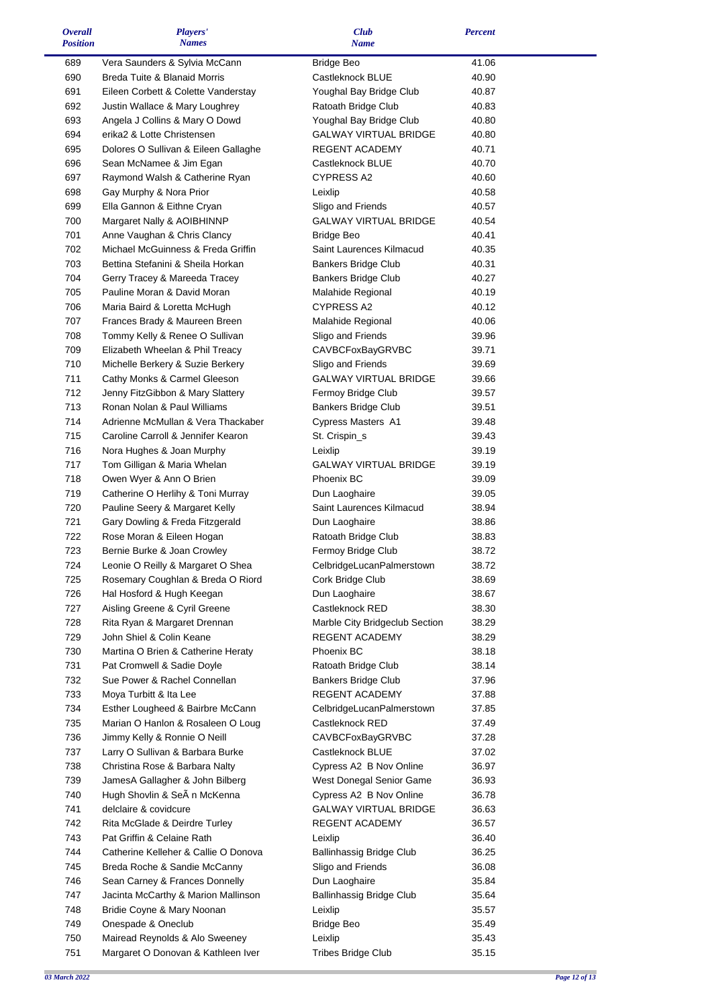| <i><b>Overall</b></i><br><b>Position</b> | Players'<br><b>Names</b>                                        | <b>Club</b><br><b>Name</b>                        | <b>Percent</b> |  |
|------------------------------------------|-----------------------------------------------------------------|---------------------------------------------------|----------------|--|
| 689                                      | Vera Saunders & Sylvia McCann                                   | <b>Bridge Beo</b>                                 | 41.06          |  |
| 690                                      | Breda Tuite & Blanaid Morris                                    | Castleknock BLUE                                  | 40.90          |  |
| 691                                      | Eileen Corbett & Colette Vanderstay                             | Youghal Bay Bridge Club                           | 40.87          |  |
| 692                                      | Justin Wallace & Mary Loughrey                                  | Ratoath Bridge Club                               | 40.83          |  |
| 693                                      | Angela J Collins & Mary O Dowd                                  | Youghal Bay Bridge Club                           | 40.80          |  |
| 694                                      | erika2 & Lotte Christensen                                      | <b>GALWAY VIRTUAL BRIDGE</b>                      | 40.80          |  |
| 695                                      | Dolores O Sullivan & Eileen Gallaghe                            | <b>REGENT ACADEMY</b>                             | 40.71          |  |
| 696                                      | Sean McNamee & Jim Egan                                         | Castleknock BLUE                                  | 40.70          |  |
| 697                                      | Raymond Walsh & Catherine Ryan                                  | <b>CYPRESS A2</b>                                 | 40.60          |  |
| 698                                      | Gay Murphy & Nora Prior                                         | Leixlip                                           | 40.58          |  |
| 699                                      | Ella Gannon & Eithne Cryan                                      | Sligo and Friends                                 | 40.57          |  |
| 700                                      | Margaret Nally & AOIBHINNP                                      | <b>GALWAY VIRTUAL BRIDGE</b>                      | 40.54          |  |
| 701                                      | Anne Vaughan & Chris Clancy                                     | <b>Bridge Beo</b>                                 | 40.41          |  |
| 702                                      | Michael McGuinness & Freda Griffin                              | Saint Laurences Kilmacud                          | 40.35          |  |
| 703                                      | Bettina Stefanini & Sheila Horkan                               | <b>Bankers Bridge Club</b>                        | 40.31          |  |
| 704                                      | Gerry Tracey & Mareeda Tracey                                   | <b>Bankers Bridge Club</b>                        | 40.27          |  |
| 705                                      | Pauline Moran & David Moran                                     | Malahide Regional                                 | 40.19<br>40.12 |  |
| 706                                      | Maria Baird & Loretta McHugh                                    | <b>CYPRESS A2</b>                                 |                |  |
| 707<br>708                               | Frances Brady & Maureen Breen<br>Tommy Kelly & Renee O Sullivan | Malahide Regional<br>Sligo and Friends            | 40.06<br>39.96 |  |
| 709                                      | Elizabeth Wheelan & Phil Treacy                                 | <b>CAVBCFoxBayGRVBC</b>                           | 39.71          |  |
| 710                                      | Michelle Berkery & Suzie Berkery                                | Sligo and Friends                                 | 39.69          |  |
| 711                                      | Cathy Monks & Carmel Gleeson                                    | <b>GALWAY VIRTUAL BRIDGE</b>                      | 39.66          |  |
| 712                                      | Jenny FitzGibbon & Mary Slattery                                | Fermoy Bridge Club                                | 39.57          |  |
| 713                                      | Ronan Nolan & Paul Williams                                     | <b>Bankers Bridge Club</b>                        | 39.51          |  |
| 714                                      | Adrienne McMullan & Vera Thackaber                              | Cypress Masters A1                                | 39.48          |  |
| 715                                      | Caroline Carroll & Jennifer Kearon                              | St. Crispin_s                                     | 39.43          |  |
| 716                                      | Nora Hughes & Joan Murphy                                       | Leixlip                                           | 39.19          |  |
| 717                                      | Tom Gilligan & Maria Whelan                                     | <b>GALWAY VIRTUAL BRIDGE</b>                      | 39.19          |  |
| 718                                      | Owen Wyer & Ann O Brien                                         | Phoenix BC                                        | 39.09          |  |
| 719                                      | Catherine O Herlihy & Toni Murray                               | Dun Laoghaire                                     | 39.05          |  |
| 720                                      | Pauline Seery & Margaret Kelly                                  | Saint Laurences Kilmacud                          | 38.94          |  |
| 721                                      | Gary Dowling & Freda Fitzgerald                                 | Dun Laoghaire                                     | 38.86          |  |
| 722                                      | Rose Moran & Eileen Hogan                                       | Ratoath Bridge Club                               | 38.83          |  |
| 723                                      | Bernie Burke & Joan Crowley                                     | Fermoy Bridge Club                                | 38.72          |  |
| 724                                      | Leonie O Reilly & Margaret O Shea                               | CelbridgeLucanPalmerstown                         | 38.72          |  |
| 725                                      | Rosemary Coughlan & Breda O Riord                               | Cork Bridge Club                                  | 38.69          |  |
| 726                                      | Hal Hosford & Hugh Keegan                                       | Dun Laoghaire                                     | 38.67          |  |
| 727                                      | Aisling Greene & Cyril Greene                                   | Castleknock RED                                   | 38.30          |  |
| 728                                      | Rita Ryan & Margaret Drennan                                    | Marble City Bridgeclub Section                    | 38.29          |  |
| 729                                      | John Shiel & Colin Keane                                        | REGENT ACADEMY                                    | 38.29          |  |
| 730<br>731                               | Martina O Brien & Catherine Heraty                              | Phoenix BC                                        | 38.18          |  |
| 732                                      | Pat Cromwell & Sadie Doyle<br>Sue Power & Rachel Connellan      | Ratoath Bridge Club<br><b>Bankers Bridge Club</b> | 38.14<br>37.96 |  |
| 733                                      | Moya Turbitt & Ita Lee                                          | REGENT ACADEMY                                    | 37.88          |  |
| 734                                      | Esther Lougheed & Bairbre McCann                                | CelbridgeLucanPalmerstown                         | 37.85          |  |
| 735                                      | Marian O Hanlon & Rosaleen O Loug                               | Castleknock RED                                   | 37.49          |  |
| 736                                      | Jimmy Kelly & Ronnie O Neill                                    | <b>CAVBCFoxBayGRVBC</b>                           | 37.28          |  |
| 737                                      | Larry O Sullivan & Barbara Burke                                | Castleknock BLUE                                  | 37.02          |  |
| 738                                      | Christina Rose & Barbara Nalty                                  | Cypress A2 B Nov Online                           | 36.97          |  |
| 739                                      | JamesA Gallagher & John Bilberg                                 | West Donegal Senior Game                          | 36.93          |  |
| 740                                      | Hugh Shovlin & SeA n McKenna                                    | Cypress A2 B Nov Online                           | 36.78          |  |
| 741                                      | delclaire & covidcure                                           | <b>GALWAY VIRTUAL BRIDGE</b>                      | 36.63          |  |
| 742                                      | Rita McGlade & Deirdre Turley                                   | REGENT ACADEMY                                    | 36.57          |  |
| 743                                      | Pat Griffin & Celaine Rath                                      | Leixlip                                           | 36.40          |  |
| 744                                      | Catherine Kelleher & Callie O Donova                            | <b>Ballinhassig Bridge Club</b>                   | 36.25          |  |
| 745                                      | Breda Roche & Sandie McCanny                                    | Sligo and Friends                                 | 36.08          |  |
| 746                                      | Sean Carney & Frances Donnelly                                  | Dun Laoghaire                                     | 35.84          |  |
| 747                                      | Jacinta McCarthy & Marion Mallinson                             | Ballinhassig Bridge Club                          | 35.64          |  |
| 748                                      | Bridie Coyne & Mary Noonan                                      | Leixlip                                           | 35.57          |  |
| 749                                      | Onespade & Oneclub                                              | <b>Bridge Beo</b>                                 | 35.49          |  |
| 750                                      | Mairead Reynolds & Alo Sweeney                                  | Leixlip                                           | 35.43          |  |
| 751                                      | Margaret O Donovan & Kathleen Iver                              | <b>Tribes Bridge Club</b>                         | 35.15          |  |